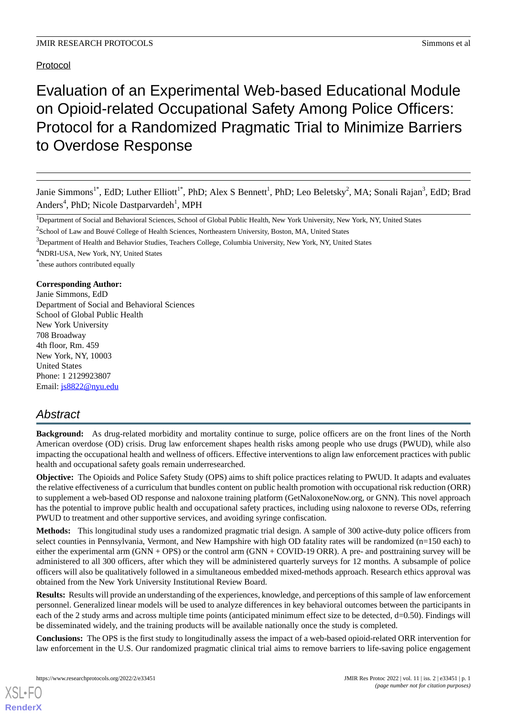# Protocol

# Evaluation of an Experimental Web-based Educational Module on Opioid-related Occupational Safety Among Police Officers: Protocol for a Randomized Pragmatic Trial to Minimize Barriers to Overdose Response

Janie Simmons<sup>1\*</sup>, EdD; Luther Elliott<sup>1\*</sup>, PhD; Alex S Bennett<sup>1</sup>, PhD; Leo Beletsky<sup>2</sup>, MA; Sonali Rajan<sup>3</sup>, EdD; Brad Anders<sup>4</sup>, PhD; Nicole Dastparvardeh<sup>1</sup>, MPH

<sup>2</sup>School of Law and Bouvé College of Health Sciences, Northeastern University, Boston, MA, United States

<sup>3</sup>Department of Health and Behavior Studies, Teachers College, Columbia University, New York, NY, United States

<sup>4</sup>NDRI-USA, New York, NY, United States

\* these authors contributed equally

#### **Corresponding Author:**

Janie Simmons, EdD Department of Social and Behavioral Sciences School of Global Public Health New York University 708 Broadway 4th floor, Rm. 459 New York, NY, 10003 United States Phone: 1 2129923807 Email: [js8822@nyu.edu](mailto:js8822@nyu.edu)

# *Abstract*

**Background:** As drug-related morbidity and mortality continue to surge, police officers are on the front lines of the North American overdose (OD) crisis. Drug law enforcement shapes health risks among people who use drugs (PWUD), while also impacting the occupational health and wellness of officers. Effective interventions to align law enforcement practices with public health and occupational safety goals remain underresearched.

**Objective:** The Opioids and Police Safety Study (OPS) aims to shift police practices relating to PWUD. It adapts and evaluates the relative effectiveness of a curriculum that bundles content on public health promotion with occupational risk reduction (ORR) to supplement a web-based OD response and naloxone training platform (GetNaloxoneNow.org, or GNN). This novel approach has the potential to improve public health and occupational safety practices, including using naloxone to reverse ODs, referring PWUD to treatment and other supportive services, and avoiding syringe confiscation.

**Methods:** This longitudinal study uses a randomized pragmatic trial design. A sample of 300 active-duty police officers from select counties in Pennsylvania, Vermont, and New Hampshire with high OD fatality rates will be randomized (n=150 each) to either the experimental arm (GNN + OPS) or the control arm (GNN + COVID-19 ORR). A pre- and posttraining survey will be administered to all 300 officers, after which they will be administered quarterly surveys for 12 months. A subsample of police officers will also be qualitatively followed in a simultaneous embedded mixed-methods approach. Research ethics approval was obtained from the New York University Institutional Review Board.

**Results:** Results will provide an understanding of the experiences, knowledge, and perceptions of this sample of law enforcement personnel. Generalized linear models will be used to analyze differences in key behavioral outcomes between the participants in each of the 2 study arms and across multiple time points (anticipated minimum effect size to be detected, d=0.50). Findings will be disseminated widely, and the training products will be available nationally once the study is completed.

**Conclusions:** The OPS is the first study to longitudinally assess the impact of a web-based opioid-related ORR intervention for law enforcement in the U.S. Our randomized pragmatic clinical trial aims to remove barriers to life-saving police engagement

<sup>&</sup>lt;sup>1</sup>Department of Social and Behavioral Sciences, School of Global Public Health, New York University, New York, NY, United States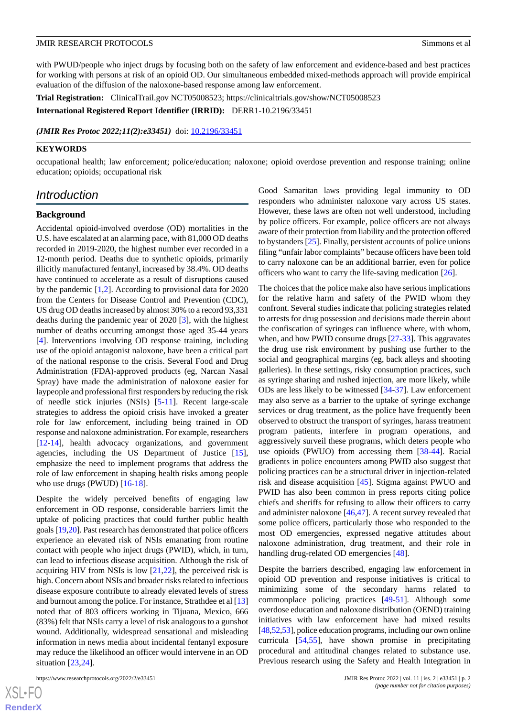with PWUD/people who inject drugs by focusing both on the safety of law enforcement and evidence-based and best practices for working with persons at risk of an opioid OD. Our simultaneous embedded mixed-methods approach will provide empirical evaluation of the diffusion of the naloxone-based response among law enforcement.

**Trial Registration:** ClinicalTrail.gov NCT05008523; https://clinicaltrials.gov/show/NCT05008523

**International Registered Report Identifier (IRRID):** DERR1-10.2196/33451

*(JMIR Res Protoc 2022;11(2):e33451)* doi: [10.2196/33451](http://dx.doi.org/10.2196/33451)

#### **KEYWORDS**

occupational health; law enforcement; police/education; naloxone; opioid overdose prevention and response training; online education; opioids; occupational risk

## *Introduction*

#### **Background**

Accidental opioid-involved overdose (OD) mortalities in the U.S. have escalated at an alarming pace, with 81,000 OD deaths recorded in 2019-2020, the highest number ever recorded in a 12-month period. Deaths due to synthetic opioids, primarily illicitly manufactured fentanyl, increased by 38.4%. OD deaths have continued to accelerate as a result of disruptions caused by the pandemic [[1,](#page-10-0)[2](#page-10-1)]. According to provisional data for 2020 from the Centers for Disease Control and Prevention (CDC), US drug OD deaths increased by almost 30% to a record 93,331 deaths during the pandemic year of 2020 [[3\]](#page-10-2), with the highest number of deaths occurring amongst those aged 35-44 years [[4\]](#page-10-3). Interventions involving OD response training, including use of the opioid antagonist naloxone, have been a critical part of the national response to the crisis. Several Food and Drug Administration (FDA)-approved products (eg, Narcan Nasal Spray) have made the administration of naloxone easier for laypeople and professional first responders by reducing the risk of needle stick injuries (NSIs) [[5](#page-10-4)[-11](#page-10-5)]. Recent large-scale strategies to address the opioid crisis have invoked a greater role for law enforcement, including being trained in OD response and naloxone administration. For example, researchers [[12](#page-10-6)[-14](#page-10-7)], health advocacy organizations, and government agencies, including the US Department of Justice [[15\]](#page-10-8), emphasize the need to implement programs that address the role of law enforcement in shaping health risks among people who use drugs (PWUD)  $[16-18]$  $[16-18]$  $[16-18]$  $[16-18]$ .

Despite the widely perceived benefits of engaging law enforcement in OD response, considerable barriers limit the uptake of policing practices that could further public health goals [\[19](#page-11-2)[,20](#page-11-3)]. Past research has demonstrated that police officers experience an elevated risk of NSIs emanating from routine contact with people who inject drugs (PWID), which, in turn, can lead to infectious disease acquisition. Although the risk of acquiring HIV from NSIs is low  $[21,22]$  $[21,22]$  $[21,22]$ , the perceived risk is high. Concern about NSIs and broader risks related to infectious disease exposure contribute to already elevated levels of stress and burnout among the police. For instance, Strathdee et al [\[13](#page-10-9)] noted that of 803 officers working in Tijuana, Mexico, 666 (83%) felt that NSIs carry a level of risk analogous to a gunshot wound. Additionally, widespread sensational and misleading information in news media about incidental fentanyl exposure may reduce the likelihood an officer would intervene in an OD situation [[23](#page-11-6)[,24](#page-11-7)].

https://www.researchprotocols.org/2022/2/e33451 JMIR Res Protoc 2022 | vol. 11 | iss. 2 | e33451 | p. 2

 $XS$ -FO **[RenderX](http://www.renderx.com/)** Good Samaritan laws providing legal immunity to OD responders who administer naloxone vary across US states. However, these laws are often not well understood, including by police officers. For example, police officers are not always aware of their protection from liability and the protection offered to bystanders [[25\]](#page-11-8). Finally, persistent accounts of police unions filing "unfair labor complaints" because officers have been told to carry naloxone can be an additional barrier, even for police officers who want to carry the life-saving medication [\[26](#page-11-9)].

The choices that the police make also have serious implications for the relative harm and safety of the PWID whom they confront. Several studies indicate that policing strategies related to arrests for drug possession and decisions made therein about the confiscation of syringes can influence where, with whom, when, and how PWID consume drugs [\[27](#page-11-10)[-33](#page-11-11)]. This aggravates the drug use risk environment by pushing use further to the social and geographical margins (eg, back alleys and shooting galleries). In these settings, risky consumption practices, such as syringe sharing and rushed injection, are more likely, while ODs are less likely to be witnessed [[34-](#page-11-12)[37\]](#page-11-13). Law enforcement may also serve as a barrier to the uptake of syringe exchange services or drug treatment, as the police have frequently been observed to obstruct the transport of syringes, harass treatment program patients, interfere in program operations, and aggressively surveil these programs, which deters people who use opioids (PWUO) from accessing them [\[38](#page-12-0)[-44](#page-12-1)]. Racial gradients in police encounters among PWID also suggest that policing practices can be a structural driver in injection-related risk and disease acquisition [[45\]](#page-12-2). Stigma against PWUO and PWID has also been common in press reports citing police chiefs and sheriffs for refusing to allow their officers to carry and administer naloxone [[46](#page-12-3)[,47](#page-12-4)]. A recent survey revealed that some police officers, particularly those who responded to the most OD emergencies, expressed negative attitudes about naloxone administration, drug treatment, and their role in handling drug-related OD emergencies [\[48](#page-12-5)].

Despite the barriers described, engaging law enforcement in opioid OD prevention and response initiatives is critical to minimizing some of the secondary harms related to commonplace policing practices [\[49](#page-12-6)-[51\]](#page-12-7). Although some overdose education and naloxone distribution (OEND) training initiatives with law enforcement have had mixed results [[48,](#page-12-5)[52](#page-12-8)[,53](#page-12-9)], police education programs, including our own online curricula [\[54](#page-12-10),[55\]](#page-12-11), have shown promise in precipitating procedural and attitudinal changes related to substance use. Previous research using the Safety and Health Integration in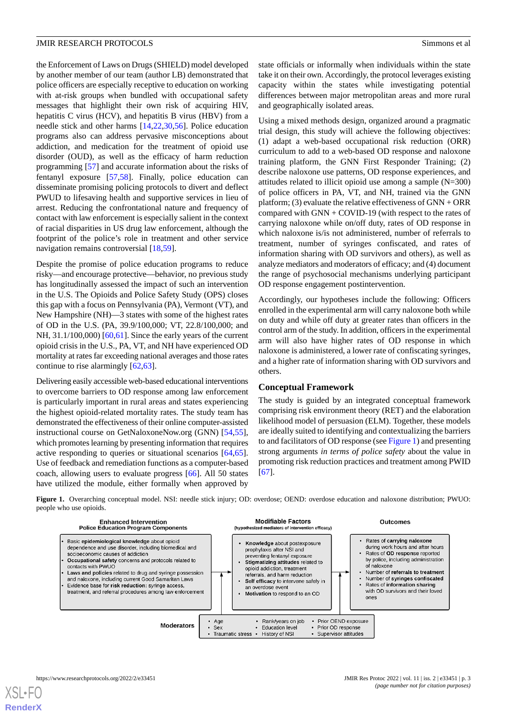the Enforcement of Laws on Drugs (SHIELD) model developed by another member of our team (author LB) demonstrated that police officers are especially receptive to education on working with at-risk groups when bundled with occupational safety messages that highlight their own risk of acquiring HIV, hepatitis C virus (HCV), and hepatitis B virus (HBV) from a needle stick and other harms [[14,](#page-10-7)[22](#page-11-5)[,30](#page-11-14)[,56](#page-12-12)]. Police education programs also can address pervasive misconceptions about addiction, and medication for the treatment of opioid use disorder (OUD), as well as the efficacy of harm reduction programming [[57\]](#page-12-13) and accurate information about the risks of fentanyl exposure [\[57](#page-12-13),[58\]](#page-12-14). Finally, police education can disseminate promising policing protocols to divert and deflect PWUD to lifesaving health and supportive services in lieu of arrest. Reducing the confrontational nature and frequency of contact with law enforcement is especially salient in the context of racial disparities in US drug law enforcement, although the footprint of the police's role in treatment and other service navigation remains controversial [[18](#page-11-1)[,59](#page-12-15)].

Despite the promise of police education programs to reduce risky—and encourage protective—behavior, no previous study has longitudinally assessed the impact of such an intervention in the U.S. The Opioids and Police Safety Study (OPS) closes this gap with a focus on Pennsylvania (PA), Vermont (VT), and New Hampshire (NH)—3 states with some of the highest rates of OD in the U.S. (PA, 39.9/100,000; VT, 22.8/100,000; and NH, 31.1/100,000) [\[60](#page-13-0),[61\]](#page-13-1). Since the early years of the current opioid crisis in the U.S., PA, VT, and NH have experienced OD mortality at rates far exceeding national averages and those rates continue to rise alarmingly [[62](#page-13-2)[,63](#page-13-3)].

Delivering easily accessible web-based educational interventions to overcome barriers to OD response among law enforcement is particularly important in rural areas and states experiencing the highest opioid-related mortality rates. The study team has demonstrated the effectiveness of their online computer-assisted instructional course on GetNaloxoneNow.org (GNN) [\[54](#page-12-10),[55\]](#page-12-11), which promotes learning by presenting information that requires active responding to queries or situational scenarios [\[64](#page-13-4),[65\]](#page-13-5). Use of feedback and remediation functions as a computer-based coach, allowing users to evaluate progress [\[66](#page-13-6)]. All 50 states have utilized the module, either formally when approved by

state officials or informally when individuals within the state take it on their own. Accordingly, the protocol leverages existing capacity within the states while investigating potential differences between major metropolitan areas and more rural and geographically isolated areas.

Using a mixed methods design, organized around a pragmatic trial design, this study will achieve the following objectives: (1) adapt a web-based occupational risk reduction (ORR) curriculum to add to a web-based OD response and naloxone training platform, the GNN First Responder Training; (2) describe naloxone use patterns, OD response experiences, and attitudes related to illicit opioid use among a sample (N=300) of police officers in PA, VT, and NH, trained via the GNN platform; (3) evaluate the relative effectiveness of  $GNN + ORR$ compared with GNN + COVID-19 (with respect to the rates of carrying naloxone while on/off duty, rates of OD response in which naloxone is/is not administered, number of referrals to treatment, number of syringes confiscated, and rates of information sharing with OD survivors and others), as well as analyze mediators and moderators of efficacy; and (4) document the range of psychosocial mechanisms underlying participant OD response engagement postintervention.

Accordingly, our hypotheses include the following: Officers enrolled in the experimental arm will carry naloxone both while on duty and while off duty at greater rates than officers in the control arm of the study. In addition, officers in the experimental arm will also have higher rates of OD response in which naloxone is administered, a lower rate of confiscating syringes, and a higher rate of information sharing with OD survivors and others.

#### **Conceptual Framework**

The study is guided by an integrated conceptual framework comprising risk environment theory (RET) and the elaboration likelihood model of persuasion (ELM). Together, these models are ideally suited to identifying and contextualizing the barriers to and facilitators of OD response (see [Figure 1](#page-2-0)) and presenting strong arguments *in terms of police safety* about the value in promoting risk reduction practices and treatment among PWID [[67\]](#page-13-7).

<span id="page-2-0"></span>**Figure 1.** Overarching conceptual model. NSI: needle stick injury; OD: overdose; OEND: overdose education and naloxone distribution; PWUO: people who use opioids.

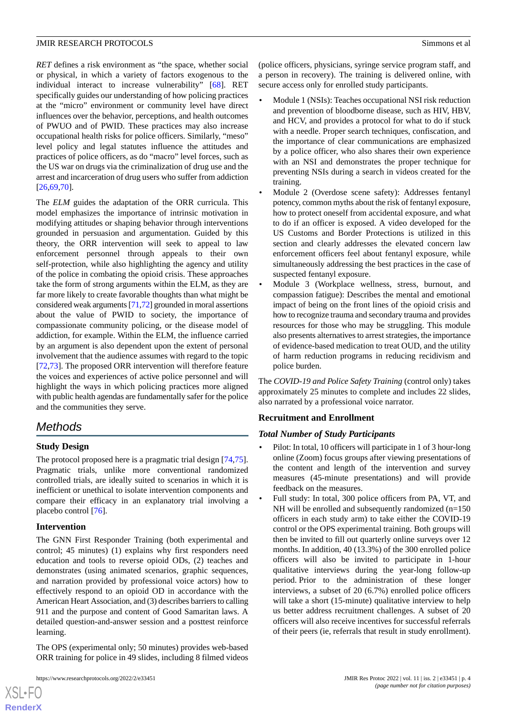*RET* defines a risk environment as "the space, whether social or physical, in which a variety of factors exogenous to the individual interact to increase vulnerability" [[68\]](#page-13-8). RET specifically guides our understanding of how policing practices at the "micro" environment or community level have direct influences over the behavior, perceptions, and health outcomes of PWUO and of PWID. These practices may also increase occupational health risks for police officers. Similarly, "meso" level policy and legal statutes influence the attitudes and practices of police officers, as do "macro" level forces, such as the US war on drugs via the criminalization of drug use and the arrest and incarceration of drug users who suffer from addiction [[26](#page-11-9)[,69](#page-13-9),[70\]](#page-13-10).

The *ELM* guides the adaptation of the ORR curricula. This model emphasizes the importance of intrinsic motivation in modifying attitudes or shaping behavior through interventions grounded in persuasion and argumentation. Guided by this theory, the ORR intervention will seek to appeal to law enforcement personnel through appeals to their own self-protection, while also highlighting the agency and utility of the police in combating the opioid crisis. These approaches take the form of strong arguments within the ELM, as they are far more likely to create favorable thoughts than what might be considered weak arguments [\[71](#page-13-11)[,72\]](#page-13-12) grounded in moral assertions about the value of PWID to society, the importance of compassionate community policing, or the disease model of addiction, for example. Within the ELM, the influence carried by an argument is also dependent upon the extent of personal involvement that the audience assumes with regard to the topic [[72](#page-13-12)[,73](#page-13-13)]. The proposed ORR intervention will therefore feature the voices and experiences of active police personnel and will highlight the ways in which policing practices more aligned with public health agendas are fundamentally safer for the police and the communities they serve.

# *Methods*

## **Study Design**

The protocol proposed here is a pragmatic trial design [\[74](#page-13-14),[75\]](#page-13-15). Pragmatic trials, unlike more conventional randomized controlled trials, are ideally suited to scenarios in which it is inefficient or unethical to isolate intervention components and compare their efficacy in an explanatory trial involving a placebo control [\[76](#page-13-16)].

#### **Intervention**

[XSL](http://www.w3.org/Style/XSL)•FO **[RenderX](http://www.renderx.com/)**

The GNN First Responder Training (both experimental and control; 45 minutes) (1) explains why first responders need education and tools to reverse opioid ODs, (2) teaches and demonstrates (using animated scenarios, graphic sequences, and narration provided by professional voice actors) how to effectively respond to an opioid OD in accordance with the American Heart Association, and (3) describes barriers to calling 911 and the purpose and content of Good Samaritan laws. A detailed question-and-answer session and a posttest reinforce learning.

The OPS (experimental only; 50 minutes) provides web-based ORR training for police in 49 slides, including 8 filmed videos

(police officers, physicians, syringe service program staff, and a person in recovery). The training is delivered online, with secure access only for enrolled study participants.

- Module 1 (NSIs): Teaches occupational NSI risk reduction and prevention of bloodborne disease, such as HIV, HBV, and HCV, and provides a protocol for what to do if stuck with a needle. Proper search techniques, confiscation, and the importance of clear communications are emphasized by a police officer, who also shares their own experience with an NSI and demonstrates the proper technique for preventing NSIs during a search in videos created for the training.
- Module 2 (Overdose scene safety): Addresses fentanyl potency, common myths about the risk of fentanyl exposure, how to protect oneself from accidental exposure, and what to do if an officer is exposed. A video developed for the US Customs and Border Protections is utilized in this section and clearly addresses the elevated concern law enforcement officers feel about fentanyl exposure, while simultaneously addressing the best practices in the case of suspected fentanyl exposure.
- Module 3 (Workplace wellness, stress, burnout, and compassion fatigue): Describes the mental and emotional impact of being on the front lines of the opioid crisis and how to recognize trauma and secondary trauma and provides resources for those who may be struggling. This module also presents alternatives to arrest strategies, the importance of evidence-based medication to treat OUD, and the utility of harm reduction programs in reducing recidivism and police burden.

The *COVID-19 and Police Safety Training* (control only) takes approximately 25 minutes to complete and includes 22 slides, also narrated by a professional voice narrator.

#### **Recruitment and Enrollment**

#### *Total Number of Study Participants*

- Pilot: In total, 10 officers will participate in 1 of 3 hour-long online (Zoom) focus groups after viewing presentations of the content and length of the intervention and survey measures (45-minute presentations) and will provide feedback on the measures.
- Full study: In total, 300 police officers from PA, VT, and NH will be enrolled and subsequently randomized  $(n=150)$ officers in each study arm) to take either the COVID-19 control or the OPS experimental training. Both groups will then be invited to fill out quarterly online surveys over 12 months. In addition, 40 (13.3%) of the 300 enrolled police officers will also be invited to participate in 1-hour qualitative interviews during the year-long follow-up period. Prior to the administration of these longer interviews, a subset of 20 (6.7%) enrolled police officers will take a short (15-minute) qualitative interview to help us better address recruitment challenges. A subset of 20 officers will also receive incentives for successful referrals of their peers (ie, referrals that result in study enrollment).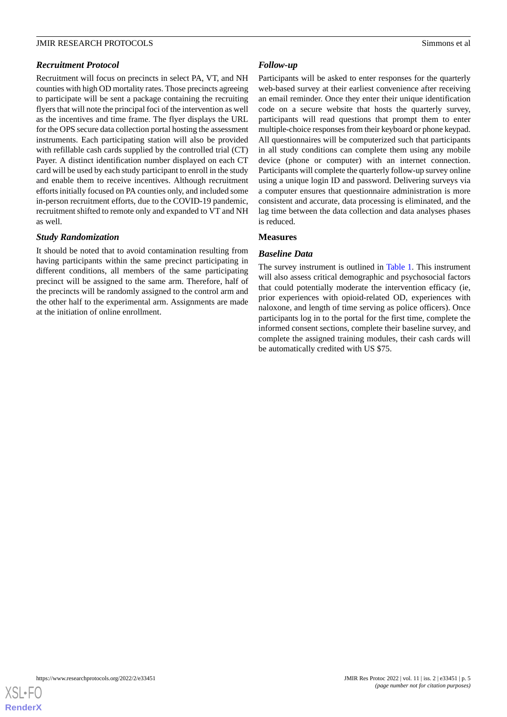Recruitment will focus on precincts in select PA, VT, and NH counties with high OD mortality rates. Those precincts agreeing to participate will be sent a package containing the recruiting flyers that will note the principal foci of the intervention as well as the incentives and time frame. The flyer displays the URL for the OPS secure data collection portal hosting the assessment instruments. Each participating station will also be provided with refillable cash cards supplied by the controlled trial (CT) Payer. A distinct identification number displayed on each CT card will be used by each study participant to enroll in the study and enable them to receive incentives. Although recruitment efforts initially focused on PA counties only, and included some in-person recruitment efforts, due to the COVID-19 pandemic, recruitment shifted to remote only and expanded to VT and NH as well.

#### *Study Randomization*

It should be noted that to avoid contamination resulting from having participants within the same precinct participating in different conditions, all members of the same participating precinct will be assigned to the same arm. Therefore, half of the precincts will be randomly assigned to the control arm and the other half to the experimental arm. Assignments are made at the initiation of online enrollment.

#### *Follow-up*

Participants will be asked to enter responses for the quarterly web-based survey at their earliest convenience after receiving an email reminder. Once they enter their unique identification code on a secure website that hosts the quarterly survey, participants will read questions that prompt them to enter multiple-choice responses from their keyboard or phone keypad. All questionnaires will be computerized such that participants in all study conditions can complete them using any mobile device (phone or computer) with an internet connection. Participants will complete the quarterly follow-up survey online using a unique login ID and password. Delivering surveys via a computer ensures that questionnaire administration is more consistent and accurate, data processing is eliminated, and the lag time between the data collection and data analyses phases is reduced.

#### **Measures**

#### *Baseline Data*

The survey instrument is outlined in [Table 1.](#page-5-0) This instrument will also assess critical demographic and psychosocial factors that could potentially moderate the intervention efficacy (ie, prior experiences with opioid-related OD, experiences with naloxone, and length of time serving as police officers). Once participants log in to the portal for the first time, complete the informed consent sections, complete their baseline survey, and complete the assigned training modules, their cash cards will be automatically credited with US \$75.

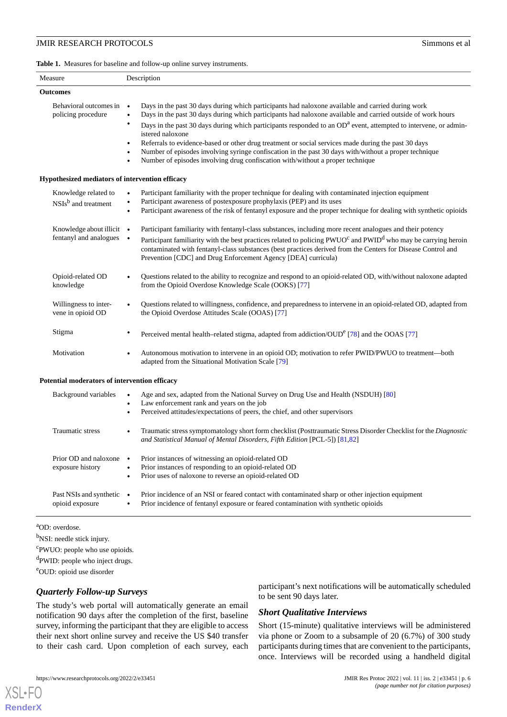<span id="page-5-0"></span>**Table 1.** Measures for baseline and follow-up online survey instruments.

| Measure                                                 | Description                                                                                                                                                                                                                                                                                                                                                                                                                                                                                   |
|---------------------------------------------------------|-----------------------------------------------------------------------------------------------------------------------------------------------------------------------------------------------------------------------------------------------------------------------------------------------------------------------------------------------------------------------------------------------------------------------------------------------------------------------------------------------|
| <b>Outcomes</b>                                         |                                                                                                                                                                                                                                                                                                                                                                                                                                                                                               |
| Behavioral outcomes in<br>policing procedure            | Days in the past 30 days during which participants had naloxone available and carried during work<br>$\bullet$<br>Days in the past 30 days during which participants had naloxone available and carried outside of work hours<br>$\bullet$                                                                                                                                                                                                                                                    |
|                                                         | Days in the past 30 days during which participants responded to an OD <sup>a</sup> event, attempted to intervene, or admin-<br>٠<br>istered naloxone<br>Referrals to evidence-based or other drug treatment or social services made during the past 30 days<br>$\bullet$<br>Number of episodes involving syringe confiscation in the past 30 days with/without a proper technique<br>$\bullet$<br>Number of episodes involving drug confiscation with/without a proper technique<br>$\bullet$ |
| Hypothesized mediators of intervention efficacy         |                                                                                                                                                                                                                                                                                                                                                                                                                                                                                               |
| Knowledge related to<br>NSIs <sup>b</sup> and treatment | Participant familiarity with the proper technique for dealing with contaminated injection equipment<br>Participant awareness of postexposure prophylaxis (PEP) and its uses<br>$\bullet$<br>Participant awareness of the risk of fentanyl exposure and the proper technique for dealing with synthetic opioids<br>$\bullet$                                                                                                                                                                   |
| Knowledge about illicit •<br>fentanyl and analogues     | Participant familiarity with fentanyl-class substances, including more recent analogues and their potency<br>Participant familiarity with the best practices related to policing PWUO <sup>c</sup> and PWID <sup>d</sup> who may be carrying heroin<br>$\bullet$<br>contaminated with fentanyl-class substances (best practices derived from the Centers for Disease Control and<br>Prevention [CDC] and Drug Enforcement Agency [DEA] curricula)                                             |
| Opioid-related OD<br>knowledge                          | Questions related to the ability to recognize and respond to an opioid-related OD, with/without naloxone adapted<br>from the Opioid Overdose Knowledge Scale (OOKS) [77]                                                                                                                                                                                                                                                                                                                      |
| Willingness to inter-<br>vene in opioid OD              | Questions related to willingness, confidence, and preparedness to intervene in an opioid-related OD, adapted from<br>the Opioid Overdose Attitudes Scale (OOAS) [77]                                                                                                                                                                                                                                                                                                                          |
| Stigma                                                  | Perceived mental health-related stigma, adapted from addiction/OUD <sup>e</sup> [78] and the OOAS [77]<br>٠                                                                                                                                                                                                                                                                                                                                                                                   |
| Motivation                                              | Autonomous motivation to intervene in an opioid OD; motivation to refer PWID/PWUO to treatment—both<br>adapted from the Situational Motivation Scale [79]                                                                                                                                                                                                                                                                                                                                     |
| Potential moderators of intervention efficacy           |                                                                                                                                                                                                                                                                                                                                                                                                                                                                                               |
| Background variables                                    | Age and sex, adapted from the National Survey on Drug Use and Health (NSDUH) [80]<br>Law enforcement rank and years on the job<br>$\bullet$<br>Perceived attitudes/expectations of peers, the chief, and other supervisors                                                                                                                                                                                                                                                                    |
| Traumatic stress                                        | Traumatic stress symptomatology short form checklist (Posttraumatic Stress Disorder Checklist for the Diagnostic<br>and Statistical Manual of Mental Disorders, Fifth Edition [PCL-5]) [81,82]                                                                                                                                                                                                                                                                                                |
| Prior OD and naloxone<br>exposure history               | Prior instances of witnessing an opioid-related OD<br>$\bullet$<br>Prior instances of responding to an opioid-related OD<br>$\bullet$<br>Prior uses of naloxone to reverse an opioid-related OD<br>$\bullet$                                                                                                                                                                                                                                                                                  |
| Past NSIs and synthetic<br>opioid exposure              | Prior incidence of an NSI or feared contact with contaminated sharp or other injection equipment<br>$\bullet$<br>Prior incidence of fentanyl exposure or feared contamination with synthetic opioids<br>$\bullet$                                                                                                                                                                                                                                                                             |

<sup>a</sup>OD: overdose.

[XSL](http://www.w3.org/Style/XSL)•FO **[RenderX](http://www.renderx.com/)**

<sup>b</sup>NSI: needle stick injury.

<sup>c</sup>PWUO: people who use opioids.

<sup>d</sup>PWID: people who inject drugs.

<sup>e</sup>OUD: opioid use disorder

#### *Quarterly Follow-up Surveys*

The study's web portal will automatically generate an email notification 90 days after the completion of the first, baseline survey, informing the participant that they are eligible to access their next short online survey and receive the US \$40 transfer to their cash card. Upon completion of each survey, each

participant's next notifications will be automatically scheduled to be sent 90 days later.

#### *Short Qualitative Interviews*

Short (15-minute) qualitative interviews will be administered via phone or Zoom to a subsample of 20 (6.7%) of 300 study participants during times that are convenient to the participants, once. Interviews will be recorded using a handheld digital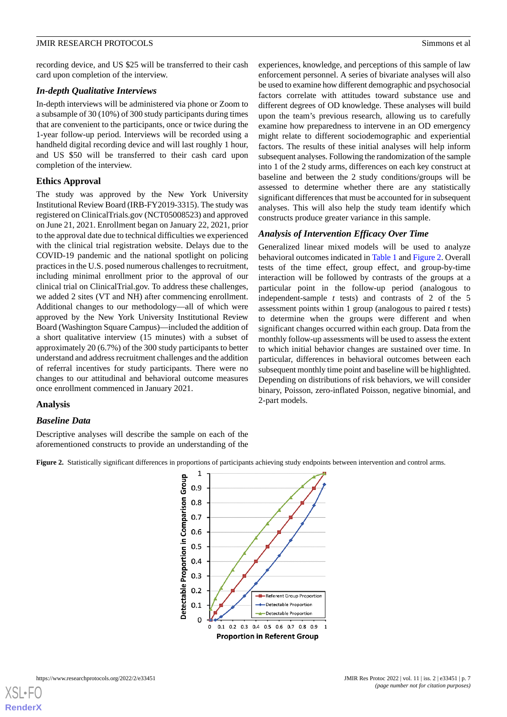recording device, and US \$25 will be transferred to their cash card upon completion of the interview.

#### *In-depth Qualitative Interviews*

In-depth interviews will be administered via phone or Zoom to a subsample of 30 (10%) of 300 study participants during times that are convenient to the participants, once or twice during the 1-year follow-up period. Interviews will be recorded using a handheld digital recording device and will last roughly 1 hour, and US \$50 will be transferred to their cash card upon completion of the interview.

#### **Ethics Approval**

The study was approved by the New York University Institutional Review Board (IRB-FY2019-3315). The study was registered on ClinicalTrials.gov (NCT05008523) and approved on June 21, 2021. Enrollment began on January 22, 2021, prior to the approval date due to technical difficulties we experienced with the clinical trial registration website. Delays due to the COVID-19 pandemic and the national spotlight on policing practices in the U.S. posed numerous challenges to recruitment, including minimal enrollment prior to the approval of our clinical trial on ClinicalTrial.gov. To address these challenges, we added 2 sites (VT and NH) after commencing enrollment. Additional changes to our methodology—all of which were approved by the New York University Institutional Review Board (Washington Square Campus)—included the addition of a short qualitative interview (15 minutes) with a subset of approximately 20 (6.7%) of the 300 study participants to better understand and address recruitment challenges and the addition of referral incentives for study participants. There were no changes to our attitudinal and behavioral outcome measures once enrollment commenced in January 2021.

#### **Analysis**

#### <span id="page-6-0"></span>*Baseline Data*

Descriptive analyses will describe the sample on each of the aforementioned constructs to provide an understanding of the experiences, knowledge, and perceptions of this sample of law enforcement personnel. A series of bivariate analyses will also be used to examine how different demographic and psychosocial factors correlate with attitudes toward substance use and different degrees of OD knowledge. These analyses will build upon the team's previous research, allowing us to carefully examine how preparedness to intervene in an OD emergency might relate to different sociodemographic and experiential factors. The results of these initial analyses will help inform subsequent analyses. Following the randomization of the sample into 1 of the 2 study arms, differences on each key construct at baseline and between the 2 study conditions/groups will be assessed to determine whether there are any statistically significant differences that must be accounted for in subsequent analyses. This will also help the study team identify which constructs produce greater variance in this sample.

#### *Analysis of Intervention Efficacy Over Time*

Generalized linear mixed models will be used to analyze behavioral outcomes indicated in [Table 1](#page-5-0) and [Figure 2](#page-6-0). Overall tests of the time effect, group effect, and group-by-time interaction will be followed by contrasts of the groups at a particular point in the follow-up period (analogous to independent-sample *t* tests) and contrasts of 2 of the 5 assessment points within 1 group (analogous to paired *t* tests) to determine when the groups were different and when significant changes occurred within each group. Data from the monthly follow-up assessments will be used to assess the extent to which initial behavior changes are sustained over time. In particular, differences in behavioral outcomes between each subsequent monthly time point and baseline will be highlighted. Depending on distributions of risk behaviors, we will consider binary, Poisson, zero-inflated Poisson, negative binomial, and 2-part models.



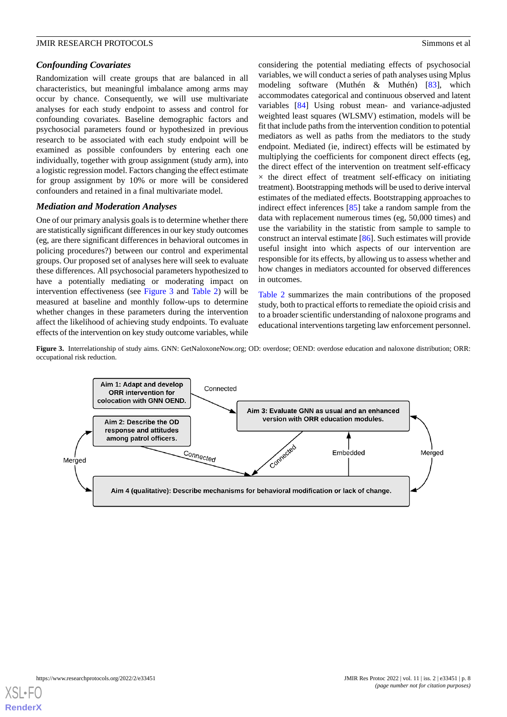#### *Confounding Covariates*

Randomization will create groups that are balanced in all characteristics, but meaningful imbalance among arms may occur by chance. Consequently, we will use multivariate analyses for each study endpoint to assess and control for confounding covariates. Baseline demographic factors and psychosocial parameters found or hypothesized in previous research to be associated with each study endpoint will be examined as possible confounders by entering each one individually, together with group assignment (study arm), into a logistic regression model. Factors changing the effect estimate for group assignment by 10% or more will be considered confounders and retained in a final multivariate model.

#### *Mediation and Moderation Analyses*

One of our primary analysis goals is to determine whether there are statistically significant differences in our key study outcomes (eg, are there significant differences in behavioral outcomes in policing procedures?) between our control and experimental groups. Our proposed set of analyses here will seek to evaluate these differences. All psychosocial parameters hypothesized to have a potentially mediating or moderating impact on intervention effectiveness (see [Figure 3](#page-7-0) and [Table 2](#page-8-0)) will be measured at baseline and monthly follow-ups to determine whether changes in these parameters during the intervention affect the likelihood of achieving study endpoints. To evaluate effects of the intervention on key study outcome variables, while considering the potential mediating effects of psychosocial variables, we will conduct a series of path analyses using Mplus modeling software (Muthén & Muthén) [\[83](#page-13-23)], which accommodates categorical and continuous observed and latent variables [\[84](#page-13-24)] Using robust mean- and variance-adjusted weighted least squares (WLSMV) estimation, models will be fit that include paths from the intervention condition to potential mediators as well as paths from the mediators to the study endpoint. Mediated (ie, indirect) effects will be estimated by multiplying the coefficients for component direct effects (eg, the direct effect of the intervention on treatment self-efficacy  $\times$  the direct effect of treatment self-efficacy on initiating treatment). Bootstrapping methods will be used to derive interval estimates of the mediated effects. Bootstrapping approaches to indirect effect inferences [\[85](#page-13-25)] take a random sample from the data with replacement numerous times (eg, 50,000 times) and use the variability in the statistic from sample to sample to construct an interval estimate [\[86](#page-13-26)]. Such estimates will provide useful insight into which aspects of our intervention are responsible for its effects, by allowing us to assess whether and how changes in mediators accounted for observed differences in outcomes.

[Table 2](#page-8-0) summarizes the main contributions of the proposed study, both to practical efforts to remediate the opioid crisis and to a broader scientific understanding of naloxone programs and educational interventions targeting law enforcement personnel.

<span id="page-7-0"></span>**Figure 3.** Interrelationship of study aims. GNN: GetNaloxoneNow.org; OD: overdose; OEND: overdose education and naloxone distribution; ORR: occupational risk reduction.



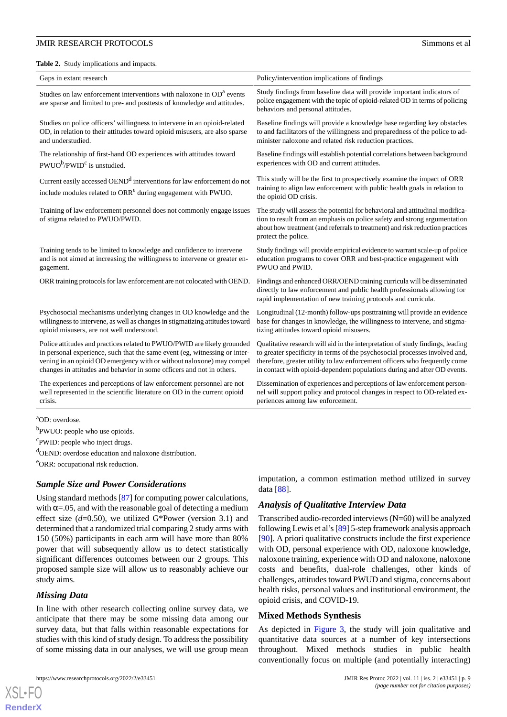<span id="page-8-0"></span>**Table 2.** Study implications and impacts.

| Gaps in extant research                                                                                                                                        | Policy/intervention implications of findings                                                                                                                                                                                                                      |
|----------------------------------------------------------------------------------------------------------------------------------------------------------------|-------------------------------------------------------------------------------------------------------------------------------------------------------------------------------------------------------------------------------------------------------------------|
| Studies on law enforcement interventions with naloxone in OD <sup>a</sup> events<br>are sparse and limited to pre- and posttests of knowledge and attitudes.   | Study findings from baseline data will provide important indicators of<br>police engagement with the topic of opioid-related OD in terms of policing<br>behaviors and personal attitudes.                                                                         |
| Studies on police officers' willingness to intervene in an opioid-related                                                                                      | Baseline findings will provide a knowledge base regarding key obstacles                                                                                                                                                                                           |
| OD, in relation to their attitudes toward opioid misusers, are also sparse                                                                                     | to and facilitators of the willingness and preparedness of the police to ad-                                                                                                                                                                                      |
| and understudied.                                                                                                                                              | minister naloxone and related risk reduction practices.                                                                                                                                                                                                           |
| The relationship of first-hand OD experiences with attitudes toward                                                                                            | Baseline findings will establish potential correlations between background                                                                                                                                                                                        |
| $PWUO^b/PWID^c$ is unstudied.                                                                                                                                  | experiences with OD and current attitudes.                                                                                                                                                                                                                        |
| Current easily accessed OEND <sup>d</sup> interventions for law enforcement do not<br>include modules related to ORR <sup>e</sup> during engagement with PWUO. | This study will be the first to prospectively examine the impact of ORR<br>training to align law enforcement with public health goals in relation to<br>the opioid OD crisis.                                                                                     |
| Training of law enforcement personnel does not commonly engage issues<br>of stigma related to PWUO/PWID.                                                       | The study will assess the potential for behavioral and attitudinal modifica-<br>tion to result from an emphasis on police safety and strong argumentation<br>about how treatment (and referrals to treatment) and risk reduction practices<br>protect the police. |
| Training tends to be limited to knowledge and confidence to intervene                                                                                          | Study findings will provide empirical evidence to warrant scale-up of police                                                                                                                                                                                      |
| and is not aimed at increasing the willingness to intervene or greater en-                                                                                     | education programs to cover ORR and best-practice engagement with                                                                                                                                                                                                 |
| gagement.                                                                                                                                                      | PWUO and PWID.                                                                                                                                                                                                                                                    |
| ORR training protocols for law enforcement are not colocated with OEND.                                                                                        | Findings and enhanced ORR/OEND training curricula will be disseminated<br>directly to law enforcement and public health professionals allowing for<br>rapid implementation of new training protocols and curricula.                                               |
| Psychosocial mechanisms underlying changes in OD knowledge and the                                                                                             | Longitudinal (12-month) follow-ups posttraining will provide an evidence                                                                                                                                                                                          |
| willingness to intervene, as well as changes in stigmatizing attitudes toward                                                                                  | base for changes in knowledge, the willingness to intervene, and stigma-                                                                                                                                                                                          |
| opioid misusers, are not well understood.                                                                                                                      | tizing attitudes toward opioid misusers.                                                                                                                                                                                                                          |
| Police attitudes and practices related to PWUO/PWID are likely grounded                                                                                        | Qualitative research will aid in the interpretation of study findings, leading                                                                                                                                                                                    |
| in personal experience, such that the same event (eg, witnessing or inter-                                                                                     | to greater specificity in terms of the psychosocial processes involved and,                                                                                                                                                                                       |
| vening in an opioid OD emergency with or without naloxone) may compel                                                                                          | therefore, greater utility to law enforcement officers who frequently come                                                                                                                                                                                        |
| changes in attitudes and behavior in some officers and not in others.                                                                                          | in contact with opioid-dependent populations during and after OD events.                                                                                                                                                                                          |
| The experiences and perceptions of law enforcement personnel are not                                                                                           | Dissemination of experiences and perceptions of law enforcement person-                                                                                                                                                                                           |
| well represented in the scientific literature on OD in the current opioid                                                                                      | nel will support policy and protocol changes in respect to OD-related ex-                                                                                                                                                                                         |
| crisis.                                                                                                                                                        | periences among law enforcement.                                                                                                                                                                                                                                  |

<sup>4</sup>OD: overdose.

<sup>b</sup>PWUO: people who use opioids.

<sup>c</sup>PWID: people who inject drugs.

<sup>d</sup>OEND: overdose education and naloxone distribution.

<sup>e</sup>ORR: occupational risk reduction.

#### *Sample Size and Power Considerations*

Using standard methods [\[87](#page-14-0)] for computing power calculations, with  $\alpha$ =.05, and with the reasonable goal of detecting a medium effect size (*d*=0.50), we utilized G\*Power (version 3.1) and determined that a randomized trial comparing 2 study arms with 150 (50%) participants in each arm will have more than 80% power that will subsequently allow us to detect statistically significant differences outcomes between our 2 groups. This proposed sample size will allow us to reasonably achieve our study aims.

#### *Missing Data*

[XSL](http://www.w3.org/Style/XSL)•FO **[RenderX](http://www.renderx.com/)**

In line with other research collecting online survey data, we anticipate that there may be some missing data among our survey data, but that falls within reasonable expectations for studies with this kind of study design. To address the possibility of some missing data in our analyses, we will use group mean

imputation, a common estimation method utilized in survey data [\[88](#page-14-1)].

#### *Analysis of Qualitative Interview Data*

Transcribed audio-recorded interviews (N=60) will be analyzed following Lewis et al's [\[89](#page-14-2)] 5-step framework analysis approach [[90\]](#page-14-3). A priori qualitative constructs include the first experience with OD, personal experience with OD, naloxone knowledge, naloxone training, experience with OD and naloxone, naloxone costs and benefits, dual-role challenges, other kinds of challenges, attitudes toward PWUD and stigma, concerns about health risks, personal values and institutional environment, the opioid crisis, and COVID-19.

#### **Mixed Methods Synthesis**

As depicted in [Figure 3](#page-7-0), the study will join qualitative and quantitative data sources at a number of key intersections throughout. Mixed methods studies in public health conventionally focus on multiple (and potentially interacting)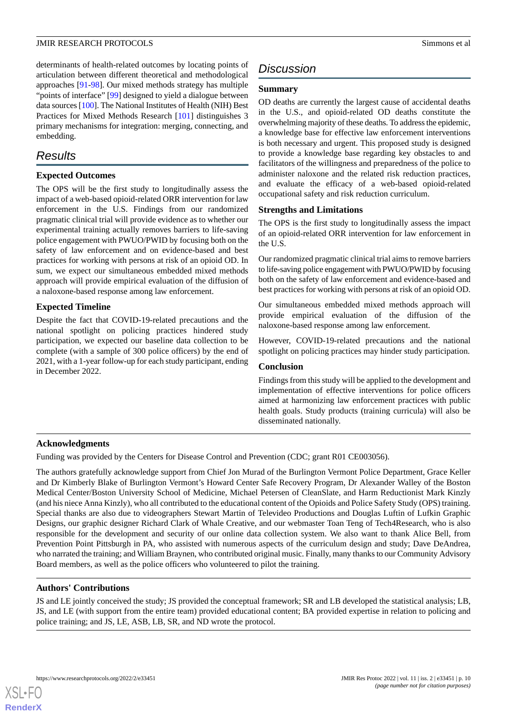determinants of health-related outcomes by locating points of articulation between different theoretical and methodological approaches [[91-](#page-14-4)[98\]](#page-14-5). Our mixed methods strategy has multiple "points of interface" [\[99](#page-14-6)] designed to yield a dialogue between data sources [[100](#page-14-7)]. The National Institutes of Health (NIH) Best Practices for Mixed Methods Research [[101\]](#page-14-8) distinguishes 3 primary mechanisms for integration: merging, connecting, and embedding.

# *Results*

#### **Expected Outcomes**

The OPS will be the first study to longitudinally assess the impact of a web-based opioid-related ORR intervention for law enforcement in the U.S. Findings from our randomized pragmatic clinical trial will provide evidence as to whether our experimental training actually removes barriers to life-saving police engagement with PWUO/PWID by focusing both on the safety of law enforcement and on evidence-based and best practices for working with persons at risk of an opioid OD. In sum, we expect our simultaneous embedded mixed methods approach will provide empirical evaluation of the diffusion of a naloxone-based response among law enforcement.

#### **Expected Timeline**

Despite the fact that COVID-19-related precautions and the national spotlight on policing practices hindered study participation, we expected our baseline data collection to be complete (with a sample of 300 police officers) by the end of 2021, with a 1-year follow-up for each study participant, ending in December 2022.

# *Discussion*

#### **Summary**

OD deaths are currently the largest cause of accidental deaths in the U.S., and opioid-related OD deaths constitute the overwhelming majority of these deaths. To address the epidemic, a knowledge base for effective law enforcement interventions is both necessary and urgent. This proposed study is designed to provide a knowledge base regarding key obstacles to and facilitators of the willingness and preparedness of the police to administer naloxone and the related risk reduction practices, and evaluate the efficacy of a web-based opioid-related occupational safety and risk reduction curriculum.

#### **Strengths and Limitations**

The OPS is the first study to longitudinally assess the impact of an opioid-related ORR intervention for law enforcement in the U.S.

Our randomized pragmatic clinical trial aims to remove barriers to life-saving police engagement with PWUO/PWID by focusing both on the safety of law enforcement and evidence-based and best practices for working with persons at risk of an opioid OD.

Our simultaneous embedded mixed methods approach will provide empirical evaluation of the diffusion of the naloxone-based response among law enforcement.

However, COVID-19-related precautions and the national spotlight on policing practices may hinder study participation.

#### **Conclusion**

Findings from this study will be applied to the development and implementation of effective interventions for police officers aimed at harmonizing law enforcement practices with public health goals. Study products (training curricula) will also be disseminated nationally.

#### **Acknowledgments**

Funding was provided by the Centers for Disease Control and Prevention (CDC; grant R01 CE003056).

The authors gratefully acknowledge support from Chief Jon Murad of the Burlington Vermont Police Department, Grace Keller and Dr Kimberly Blake of Burlington Vermont's Howard Center Safe Recovery Program, Dr Alexander Walley of the Boston Medical Center/Boston University School of Medicine, Michael Petersen of CleanSlate, and Harm Reductionist Mark Kinzly (and his niece Anna Kinzly), who all contributed to the educational content of the Opioids and Police Safety Study (OPS) training. Special thanks are also due to videographers Stewart Martin of Televideo Productions and Douglas Luftin of Lufkin Graphic Designs, our graphic designer Richard Clark of Whale Creative, and our webmaster Toan Teng of Tech4Research, who is also responsible for the development and security of our online data collection system. We also want to thank Alice Bell, from Prevention Point Pittsburgh in PA, who assisted with numerous aspects of the curriculum design and study; Dave DeAndrea, who narrated the training; and William Braynen, who contributed original music. Finally, many thanks to our Community Advisory Board members, as well as the police officers who volunteered to pilot the training.

#### **Authors' Contributions**

JS and LE jointly conceived the study; JS provided the conceptual framework; SR and LB developed the statistical analysis; LB, JS, and LE (with support from the entire team) provided educational content; BA provided expertise in relation to policing and police training; and JS, LE, ASB, LB, SR, and ND wrote the protocol.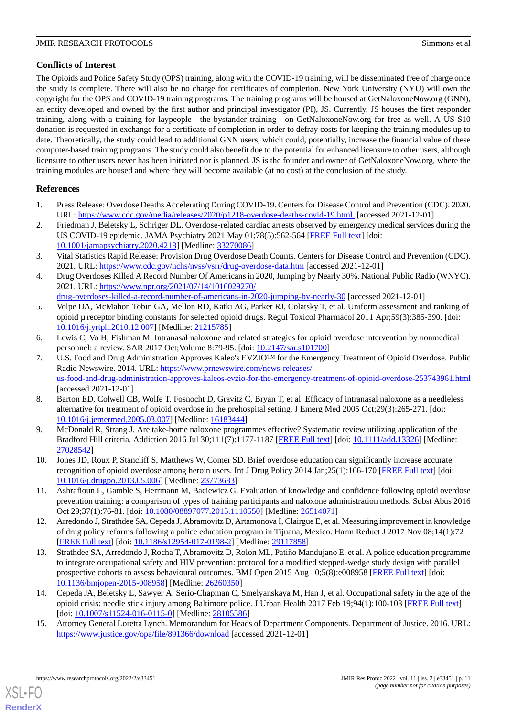### **Conflicts of Interest**

The Opioids and Police Safety Study (OPS) training, along with the COVID-19 training, will be disseminated free of charge once the study is complete. There will also be no charge for certificates of completion. New York University (NYU) will own the copyright for the OPS and COVID-19 training programs. The training programs will be housed at GetNaloxoneNow.org (GNN), an entity developed and owned by the first author and principal investigator (PI), JS. Currently, JS houses the first responder training, along with a training for laypeople—the bystander training—on GetNaloxoneNow.org for free as well. A US \$10 donation is requested in exchange for a certificate of completion in order to defray costs for keeping the training modules up to date. Theoretically, the study could lead to additional GNN users, which could, potentially, increase the financial value of these computer-based training programs. The study could also benefit due to the potential for enhanced licensure to other users, although licensure to other users never has been initiated nor is planned. JS is the founder and owner of GetNaloxoneNow.org, where the training modules are housed and where they will become available (at no cost) at the conclusion of the study.

### <span id="page-10-0"></span>**References**

- <span id="page-10-1"></span>1. Press Release: Overdose Deaths Accelerating During COVID-19. Centers for Disease Control and Prevention (CDC). 2020. URL: <https://www.cdc.gov/media/releases/2020/p1218-overdose-deaths-covid-19.html,> [accessed 2021-12-01]
- <span id="page-10-2"></span>2. Friedman J, Beletsky L, Schriger DL. Overdose-related cardiac arrests observed by emergency medical services during the US COVID-19 epidemic. JAMA Psychiatry 2021 May 01;78(5):562-564 [[FREE Full text](http://europepmc.org/abstract/MED/33270086)] [doi: [10.1001/jamapsychiatry.2020.4218](http://dx.doi.org/10.1001/jamapsychiatry.2020.4218)] [Medline: [33270086](http://www.ncbi.nlm.nih.gov/entrez/query.fcgi?cmd=Retrieve&db=PubMed&list_uids=33270086&dopt=Abstract)]
- <span id="page-10-3"></span>3. Vital Statistics Rapid Release: Provision Drug Overdose Death Counts. Centers for Disease Control and Prevention (CDC). 2021. URL: <https://www.cdc.gov/nchs/nvss/vsrr/drug-overdose-data.htm> [accessed 2021-12-01]
- <span id="page-10-4"></span>4. Drug Overdoses Killed A Record Number Of Americans in 2020, Jumping by Nearly 30%. National Public Radio (WNYC). 2021. URL: [https://www.npr.org/2021/07/14/1016029270/](https://www.npr.org/2021/07/14/1016029270/drug-overdoses-killed-a-record-number-of-americans-in-2020-jumping-by-nearly-30)
- [drug-overdoses-killed-a-record-number-of-americans-in-2020-jumping-by-nearly-30](https://www.npr.org/2021/07/14/1016029270/drug-overdoses-killed-a-record-number-of-americans-in-2020-jumping-by-nearly-30) [accessed 2021-12-01]
- 5. Volpe DA, McMahon Tobin GA, Mellon RD, Katki AG, Parker RJ, Colatsky T, et al. Uniform assessment and ranking of opioid μ receptor binding constants for selected opioid drugs. Regul Toxicol Pharmacol 2011 Apr;59(3):385-390. [doi: [10.1016/j.yrtph.2010.12.007\]](http://dx.doi.org/10.1016/j.yrtph.2010.12.007) [Medline: [21215785](http://www.ncbi.nlm.nih.gov/entrez/query.fcgi?cmd=Retrieve&db=PubMed&list_uids=21215785&dopt=Abstract)]
- 6. Lewis C, Vo H, Fishman M. Intranasal naloxone and related strategies for opioid overdose intervention by nonmedical personnel: a review. SAR 2017 Oct;Volume 8:79-95. [doi: [10.2147/sar.s101700](http://dx.doi.org/10.2147/sar.s101700)]
- 7. U.S. Food and Drug Administration Approves Kaleo's EVZIO™ for the Emergency Treatment of Opioid Overdose. Public Radio Newswire. 2014. URL: [https://www.prnewswire.com/news-releases/](https://www.prnewswire.com/news-releases/us-food-and-drug-administration-approves-kaleos-evzio-for-the-emergency-treatment-of-opioid-overdose-253743961.html) [us-food-and-drug-administration-approves-kaleos-evzio-for-the-emergency-treatment-of-opioid-overdose-253743961.html](https://www.prnewswire.com/news-releases/us-food-and-drug-administration-approves-kaleos-evzio-for-the-emergency-treatment-of-opioid-overdose-253743961.html) [accessed 2021-12-01]
- 8. Barton ED, Colwell CB, Wolfe T, Fosnocht D, Gravitz C, Bryan T, et al. Efficacy of intranasal naloxone as a needleless alternative for treatment of opioid overdose in the prehospital setting. J Emerg Med 2005 Oct;29(3):265-271. [doi: [10.1016/j.jemermed.2005.03.007\]](http://dx.doi.org/10.1016/j.jemermed.2005.03.007) [Medline: [16183444](http://www.ncbi.nlm.nih.gov/entrez/query.fcgi?cmd=Retrieve&db=PubMed&list_uids=16183444&dopt=Abstract)]
- <span id="page-10-5"></span>9. McDonald R, Strang J. Are take-home naloxone programmes effective? Systematic review utilizing application of the Bradford Hill criteria. Addiction 2016 Jul 30;111(7):1177-1187 [\[FREE Full text\]](http://europepmc.org/abstract/MED/27028542) [doi: [10.1111/add.13326\]](http://dx.doi.org/10.1111/add.13326) [Medline: [27028542](http://www.ncbi.nlm.nih.gov/entrez/query.fcgi?cmd=Retrieve&db=PubMed&list_uids=27028542&dopt=Abstract)]
- <span id="page-10-6"></span>10. Jones JD, Roux P, Stancliff S, Matthews W, Comer SD. Brief overdose education can significantly increase accurate recognition of opioid overdose among heroin users. Int J Drug Policy 2014 Jan;25(1):166-170 [\[FREE Full text\]](http://europepmc.org/abstract/MED/23773683) [doi: [10.1016/j.drugpo.2013.05.006\]](http://dx.doi.org/10.1016/j.drugpo.2013.05.006) [Medline: [23773683\]](http://www.ncbi.nlm.nih.gov/entrez/query.fcgi?cmd=Retrieve&db=PubMed&list_uids=23773683&dopt=Abstract)
- <span id="page-10-9"></span>11. Ashrafioun L, Gamble S, Herrmann M, Baciewicz G. Evaluation of knowledge and confidence following opioid overdose prevention training: a comparison of types of training participants and naloxone administration methods. Subst Abus 2016 Oct 29;37(1):76-81. [doi: [10.1080/08897077.2015.1110550\]](http://dx.doi.org/10.1080/08897077.2015.1110550) [Medline: [26514071\]](http://www.ncbi.nlm.nih.gov/entrez/query.fcgi?cmd=Retrieve&db=PubMed&list_uids=26514071&dopt=Abstract)
- <span id="page-10-7"></span>12. Arredondo J, Strathdee SA, Cepeda J, Abramovitz D, Artamonova I, Clairgue E, et al. Measuring improvement in knowledge of drug policy reforms following a police education program in Tijuana, Mexico. Harm Reduct J 2017 Nov 08;14(1):72 [[FREE Full text](https://harmreductionjournal.biomedcentral.com/articles/10.1186/s12954-017-0198-2)] [doi: [10.1186/s12954-017-0198-2\]](http://dx.doi.org/10.1186/s12954-017-0198-2) [Medline: [29117858](http://www.ncbi.nlm.nih.gov/entrez/query.fcgi?cmd=Retrieve&db=PubMed&list_uids=29117858&dopt=Abstract)]
- <span id="page-10-8"></span>13. Strathdee SA, Arredondo J, Rocha T, Abramovitz D, Rolon ML, Patiño Mandujano E, et al. A police education programme to integrate occupational safety and HIV prevention: protocol for a modified stepped-wedge study design with parallel prospective cohorts to assess behavioural outcomes. BMJ Open 2015 Aug 10;5(8):e008958 [[FREE Full text\]](https://bmjopen.bmj.com/lookup/pmidlookup?view=long&pmid=26260350) [doi: [10.1136/bmjopen-2015-008958\]](http://dx.doi.org/10.1136/bmjopen-2015-008958) [Medline: [26260350](http://www.ncbi.nlm.nih.gov/entrez/query.fcgi?cmd=Retrieve&db=PubMed&list_uids=26260350&dopt=Abstract)]
- 14. Cepeda JA, Beletsky L, Sawyer A, Serio-Chapman C, Smelyanskaya M, Han J, et al. Occupational safety in the age of the opioid crisis: needle stick injury among Baltimore police. J Urban Health 2017 Feb 19;94(1):100-103 [\[FREE Full text\]](http://europepmc.org/abstract/MED/28105586) [doi: [10.1007/s11524-016-0115-0](http://dx.doi.org/10.1007/s11524-016-0115-0)] [Medline: [28105586\]](http://www.ncbi.nlm.nih.gov/entrez/query.fcgi?cmd=Retrieve&db=PubMed&list_uids=28105586&dopt=Abstract)
- 15. Attorney General Loretta Lynch. Memorandum for Heads of Department Components. Department of Justice. 2016. URL: <https://www.justice.gov/opa/file/891366/download> [accessed 2021-12-01]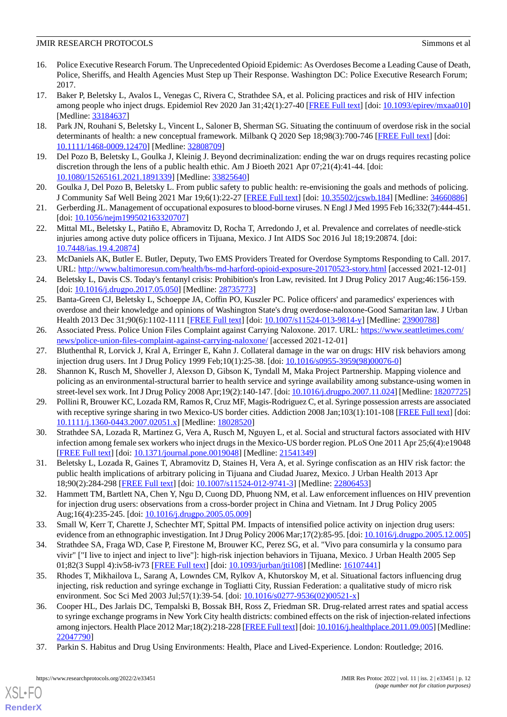- <span id="page-11-0"></span>16. Police Executive Research Forum. The Unprecedented Opioid Epidemic: As Overdoses Become a Leading Cause of Death, Police, Sheriffs, and Health Agencies Must Step up Their Response. Washington DC: Police Executive Research Forum; 2017.
- 17. Baker P, Beletsky L, Avalos L, Venegas C, Rivera C, Strathdee SA, et al. Policing practices and risk of HIV infection among people who inject drugs. Epidemiol Rev 2020 Jan 31;42(1):27-40 [[FREE Full text](http://europepmc.org/abstract/MED/33184637)] [doi: [10.1093/epirev/mxaa010](http://dx.doi.org/10.1093/epirev/mxaa010)] [Medline: [33184637](http://www.ncbi.nlm.nih.gov/entrez/query.fcgi?cmd=Retrieve&db=PubMed&list_uids=33184637&dopt=Abstract)]
- <span id="page-11-1"></span>18. Park JN, Rouhani S, Beletsky L, Vincent L, Saloner B, Sherman SG. Situating the continuum of overdose risk in the social determinants of health: a new conceptual framework. Milbank Q 2020 Sep 18;98(3):700-746 [[FREE Full text](http://europepmc.org/abstract/MED/32808709)] [doi: [10.1111/1468-0009.12470\]](http://dx.doi.org/10.1111/1468-0009.12470) [Medline: [32808709](http://www.ncbi.nlm.nih.gov/entrez/query.fcgi?cmd=Retrieve&db=PubMed&list_uids=32808709&dopt=Abstract)]
- <span id="page-11-3"></span><span id="page-11-2"></span>19. Del Pozo B, Beletsky L, Goulka J, Kleinig J. Beyond decriminalization: ending the war on drugs requires recasting police discretion through the lens of a public health ethic. Am J Bioeth 2021 Apr 07;21(4):41-44. [doi: [10.1080/15265161.2021.1891339\]](http://dx.doi.org/10.1080/15265161.2021.1891339) [Medline: [33825640\]](http://www.ncbi.nlm.nih.gov/entrez/query.fcgi?cmd=Retrieve&db=PubMed&list_uids=33825640&dopt=Abstract)
- <span id="page-11-4"></span>20. Goulka J, Del Pozo B, Beletsky L. From public safety to public health: re-envisioning the goals and methods of policing. J Community Saf Well Being 2021 Mar 19;6(1):22-27 [[FREE Full text](http://europepmc.org/abstract/MED/34660886)] [doi: [10.35502/jcswb.184\]](http://dx.doi.org/10.35502/jcswb.184) [Medline: [34660886\]](http://www.ncbi.nlm.nih.gov/entrez/query.fcgi?cmd=Retrieve&db=PubMed&list_uids=34660886&dopt=Abstract)
- <span id="page-11-5"></span>21. Gerberding JL. Management of occupational exposures to blood-borne viruses. N Engl J Med 1995 Feb 16;332(7):444-451. [doi: [10.1056/nejm199502163320707](http://dx.doi.org/10.1056/nejm199502163320707)]
- <span id="page-11-6"></span>22. Mittal ML, Beletsky L, Patiño E, Abramovitz D, Rocha T, Arredondo J, et al. Prevalence and correlates of needle-stick injuries among active duty police officers in Tijuana, Mexico. J Int AIDS Soc 2016 Jul 18;19:20874. [doi: [10.7448/ias.19.4.20874](http://dx.doi.org/10.7448/ias.19.4.20874)]
- <span id="page-11-7"></span>23. McDaniels AK, Butler E. Butler, Deputy, Two EMS Providers Treated for Overdose Symptoms Responding to Call. 2017. URL: <http://www.baltimoresun.com/health/bs-md-harford-opioid-exposure-20170523-story.html> [accessed 2021-12-01]
- <span id="page-11-8"></span>24. Beletsky L, Davis CS. Today's fentanyl crisis: Prohibition's Iron Law, revisited. Int J Drug Policy 2017 Aug;46:156-159. [doi: [10.1016/j.drugpo.2017.05.050](http://dx.doi.org/10.1016/j.drugpo.2017.05.050)] [Medline: [28735773](http://www.ncbi.nlm.nih.gov/entrez/query.fcgi?cmd=Retrieve&db=PubMed&list_uids=28735773&dopt=Abstract)]
- <span id="page-11-9"></span>25. Banta-Green CJ, Beletsky L, Schoeppe JA, Coffin PO, Kuszler PC. Police officers' and paramedics' experiences with overdose and their knowledge and opinions of Washington State's drug overdose-naloxone-Good Samaritan law. J Urban Health 2013 Dec 31;90(6):1102-1111 [\[FREE Full text\]](http://europepmc.org/abstract/MED/23900788) [doi: [10.1007/s11524-013-9814-y\]](http://dx.doi.org/10.1007/s11524-013-9814-y) [Medline: [23900788\]](http://www.ncbi.nlm.nih.gov/entrez/query.fcgi?cmd=Retrieve&db=PubMed&list_uids=23900788&dopt=Abstract)
- <span id="page-11-10"></span>26. Associated Press. Police Union Files Complaint against Carrying Naloxone. 2017. URL: [https://www.seattletimes.com/](https://www.seattletimes.com/news/police-union-files-complaint-against-carrying-naloxone/) [news/police-union-files-complaint-against-carrying-naloxone/](https://www.seattletimes.com/news/police-union-files-complaint-against-carrying-naloxone/) [accessed 2021-12-01]
- 27. Bluthenthal R, Lorvick J, Kral A, Erringer E, Kahn J. Collateral damage in the war on drugs: HIV risk behaviors among injection drug users. Int J Drug Policy 1999 Feb;10(1):25-38. [doi: [10.1016/s0955-3959\(98\)00076-0](http://dx.doi.org/10.1016/s0955-3959(98)00076-0)]
- 28. Shannon K, Rusch M, Shoveller J, Alexson D, Gibson K, Tyndall M, Maka Project Partnership. Mapping violence and policing as an environmental-structural barrier to health service and syringe availability among substance-using women in street-level sex work. Int J Drug Policy 2008 Apr;19(2):140-147. [doi: [10.1016/j.drugpo.2007.11.024](http://dx.doi.org/10.1016/j.drugpo.2007.11.024)] [Medline: [18207725\]](http://www.ncbi.nlm.nih.gov/entrez/query.fcgi?cmd=Retrieve&db=PubMed&list_uids=18207725&dopt=Abstract)
- <span id="page-11-14"></span>29. Pollini R, Brouwer KC, Lozada RM, Ramos R, Cruz MF, Magis-Rodriguez C, et al. Syringe possession arrests are associated with receptive syringe sharing in two Mexico-US border cities. Addiction 2008 Jan;103(1):101-108 [\[FREE Full text](http://europepmc.org/abstract/MED/18028520)] [doi: [10.1111/j.1360-0443.2007.02051.x\]](http://dx.doi.org/10.1111/j.1360-0443.2007.02051.x) [Medline: [18028520\]](http://www.ncbi.nlm.nih.gov/entrez/query.fcgi?cmd=Retrieve&db=PubMed&list_uids=18028520&dopt=Abstract)
- 30. Strathdee SA, Lozada R, Martinez G, Vera A, Rusch M, Nguyen L, et al. Social and structural factors associated with HIV infection among female sex workers who inject drugs in the Mexico-US border region. PLoS One 2011 Apr 25;6(4):e19048 [[FREE Full text](https://dx.plos.org/10.1371/journal.pone.0019048)] [doi: [10.1371/journal.pone.0019048](http://dx.doi.org/10.1371/journal.pone.0019048)] [Medline: [21541349](http://www.ncbi.nlm.nih.gov/entrez/query.fcgi?cmd=Retrieve&db=PubMed&list_uids=21541349&dopt=Abstract)]
- <span id="page-11-11"></span>31. Beletsky L, Lozada R, Gaines T, Abramovitz D, Staines H, Vera A, et al. Syringe confiscation as an HIV risk factor: the public health implications of arbitrary policing in Tijuana and Ciudad Juarez, Mexico. J Urban Health 2013 Apr 18;90(2):284-298 [[FREE Full text](http://europepmc.org/abstract/MED/22806453)] [doi: [10.1007/s11524-012-9741-3\]](http://dx.doi.org/10.1007/s11524-012-9741-3) [Medline: [22806453](http://www.ncbi.nlm.nih.gov/entrez/query.fcgi?cmd=Retrieve&db=PubMed&list_uids=22806453&dopt=Abstract)]
- <span id="page-11-12"></span>32. Hammett TM, Bartlett NA, Chen Y, Ngu D, Cuong DD, Phuong NM, et al. Law enforcement influences on HIV prevention for injection drug users: observations from a cross-border project in China and Vietnam. Int J Drug Policy 2005 Aug;16(4):235-245. [doi: [10.1016/j.drugpo.2005.05.009](http://dx.doi.org/10.1016/j.drugpo.2005.05.009)]
- 33. Small W, Kerr T, Charette J, Schechter MT, Spittal PM. Impacts of intensified police activity on injection drug users: evidence from an ethnographic investigation. Int J Drug Policy 2006 Mar; 17(2):85-95. [doi: [10.1016/j.drugpo.2005.12.005](http://dx.doi.org/10.1016/j.drugpo.2005.12.005)]
- 34. Strathdee SA, Fraga WD, Case P, Firestone M, Brouwer KC, Perez SG, et al. "Vivo para consumirla y la consumo para vivir" ["I live to inject and inject to live"]: high-risk injection behaviors in Tijuana, Mexico. J Urban Health 2005 Sep 01;82(3 Suppl 4):iv58-iv73 [\[FREE Full text\]](http://europepmc.org/abstract/MED/16107441) [doi: [10.1093/jurban/jti108\]](http://dx.doi.org/10.1093/jurban/jti108) [Medline: [16107441\]](http://www.ncbi.nlm.nih.gov/entrez/query.fcgi?cmd=Retrieve&db=PubMed&list_uids=16107441&dopt=Abstract)
- <span id="page-11-13"></span>35. Rhodes T, Mikhailova L, Sarang A, Lowndes CM, Rylkov A, Khutorskoy M, et al. Situational factors influencing drug injecting, risk reduction and syringe exchange in Togliatti City, Russian Federation: a qualitative study of micro risk environment. Soc Sci Med 2003 Jul;57(1):39-54. [doi:  $10.1016 \times 0277 - 9536 \times 02)00521 - x$ ]
- 36. Cooper HL, Des Jarlais DC, Tempalski B, Bossak BH, Ross Z, Friedman SR. Drug-related arrest rates and spatial access to syringe exchange programs in New York City health districts: combined effects on the risk of injection-related infections among injectors. Health Place 2012 Mar;18(2):218-228 [\[FREE Full text](http://europepmc.org/abstract/MED/22047790)] [doi: [10.1016/j.healthplace.2011.09.005\]](http://dx.doi.org/10.1016/j.healthplace.2011.09.005) [Medline: [22047790](http://www.ncbi.nlm.nih.gov/entrez/query.fcgi?cmd=Retrieve&db=PubMed&list_uids=22047790&dopt=Abstract)]
- 37. Parkin S. Habitus and Drug Using Environments: Health, Place and Lived-Experience. London: Routledge; 2016.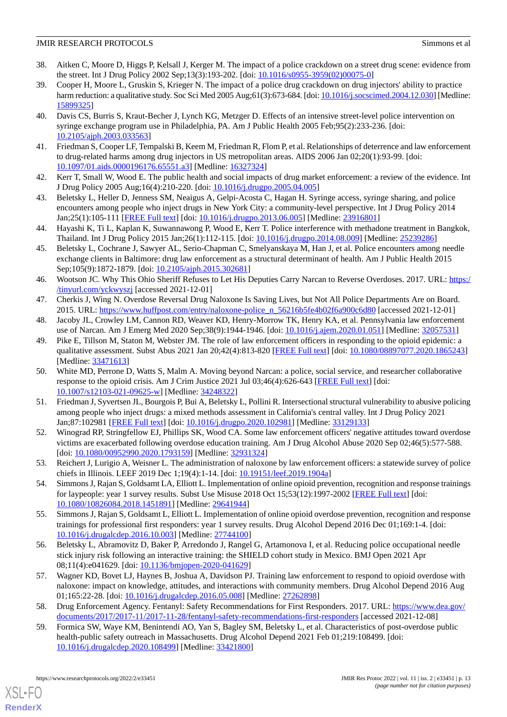- <span id="page-12-0"></span>38. Aitken C, Moore D, Higgs P, Kelsall J, Kerger M. The impact of a police crackdown on a street drug scene: evidence from the street. Int J Drug Policy 2002 Sep;13(3):193-202. [doi: [10.1016/s0955-3959\(02\)00075-0\]](http://dx.doi.org/10.1016/s0955-3959(02)00075-0)
- 39. Cooper H, Moore L, Gruskin S, Krieger N. The impact of a police drug crackdown on drug injectors' ability to practice harm reduction: a qualitative study. Soc Sci Med 2005 Aug;61(3):673-684. [doi: [10.1016/j.socscimed.2004.12.030\]](http://dx.doi.org/10.1016/j.socscimed.2004.12.030) [Medline: [15899325](http://www.ncbi.nlm.nih.gov/entrez/query.fcgi?cmd=Retrieve&db=PubMed&list_uids=15899325&dopt=Abstract)]
- 40. Davis CS, Burris S, Kraut-Becher J, Lynch KG, Metzger D. Effects of an intensive street-level police intervention on syringe exchange program use in Philadelphia, PA. Am J Public Health 2005 Feb;95(2):233-236. [doi: [10.2105/ajph.2003.033563](http://dx.doi.org/10.2105/ajph.2003.033563)]
- 41. Friedman S, Cooper LF, Tempalski B, Keem M, Friedman R, Flom P, et al. Relationships of deterrence and law enforcement to drug-related harms among drug injectors in US metropolitan areas. AIDS 2006 Jan 02;20(1):93-99. [doi: [10.1097/01.aids.0000196176.65551.a3](http://dx.doi.org/10.1097/01.aids.0000196176.65551.a3)] [Medline: [16327324](http://www.ncbi.nlm.nih.gov/entrez/query.fcgi?cmd=Retrieve&db=PubMed&list_uids=16327324&dopt=Abstract)]
- 42. Kerr T, Small W, Wood E. The public health and social impacts of drug market enforcement: a review of the evidence. Int J Drug Policy 2005 Aug;16(4):210-220. [doi: [10.1016/j.drugpo.2005.04.005\]](http://dx.doi.org/10.1016/j.drugpo.2005.04.005)
- <span id="page-12-1"></span>43. Beletsky L, Heller D, Jenness SM, Neaigus A, Gelpi-Acosta C, Hagan H. Syringe access, syringe sharing, and police encounters among people who inject drugs in New York City: a community-level perspective. Int J Drug Policy 2014 Jan;25(1):105-111 [\[FREE Full text\]](http://europepmc.org/abstract/MED/23916801) [doi: [10.1016/j.drugpo.2013.06.005](http://dx.doi.org/10.1016/j.drugpo.2013.06.005)] [Medline: [23916801](http://www.ncbi.nlm.nih.gov/entrez/query.fcgi?cmd=Retrieve&db=PubMed&list_uids=23916801&dopt=Abstract)]
- <span id="page-12-2"></span>44. Hayashi K, Ti L, Kaplan K, Suwannawong P, Wood E, Kerr T. Police interference with methadone treatment in Bangkok, Thailand. Int J Drug Policy 2015 Jan;26(1):112-115. [doi: [10.1016/j.drugpo.2014.08.009](http://dx.doi.org/10.1016/j.drugpo.2014.08.009)] [Medline: [25239286\]](http://www.ncbi.nlm.nih.gov/entrez/query.fcgi?cmd=Retrieve&db=PubMed&list_uids=25239286&dopt=Abstract)
- <span id="page-12-3"></span>45. Beletsky L, Cochrane J, Sawyer AL, Serio-Chapman C, Smelyanskaya M, Han J, et al. Police encounters among needle exchange clients in Baltimore: drug law enforcement as a structural determinant of health. Am J Public Health 2015 Sep;105(9):1872-1879. [doi: [10.2105/ajph.2015.302681\]](http://dx.doi.org/10.2105/ajph.2015.302681)
- <span id="page-12-5"></span><span id="page-12-4"></span>46. Wootson JC. Why This Ohio Sheriff Refuses to Let His Deputies Carry Narcan to Reverse Overdoses. 2017. URL: [https:/](https://tinyurl.com/yckwyszj) [/tinyurl.com/yckwyszj](https://tinyurl.com/yckwyszj) [accessed 2021-12-01]
- <span id="page-12-6"></span>47. Cherkis J, Wing N. Overdose Reversal Drug Naloxone Is Saving Lives, but Not All Police Departments Are on Board. 2015. URL: [https://www.huffpost.com/entry/naloxone-police\\_n\\_56216b5fe4b02f6a900c6d80](https://www.huffpost.com/entry/naloxone-police_n_56216b5fe4b02f6a900c6d80) [accessed 2021-12-01]
- 48. Jacoby JL, Crowley LM, Cannon RD, Weaver KD, Henry-Morrow TK, Henry KA, et al. Pennsylvania law enforcement use of Narcan. Am J Emerg Med 2020 Sep;38(9):1944-1946. [doi: [10.1016/j.ajem.2020.01.051\]](http://dx.doi.org/10.1016/j.ajem.2020.01.051) [Medline: [32057531\]](http://www.ncbi.nlm.nih.gov/entrez/query.fcgi?cmd=Retrieve&db=PubMed&list_uids=32057531&dopt=Abstract)
- 49. Pike E, Tillson M, Staton M, Webster JM. The role of law enforcement officers in responding to the opioid epidemic: a qualitative assessment. Subst Abus 2021 Jan 20;42(4):813-820 [\[FREE Full text\]](http://europepmc.org/abstract/MED/33471613) [doi: [10.1080/08897077.2020.1865243](http://dx.doi.org/10.1080/08897077.2020.1865243)] [Medline: [33471613](http://www.ncbi.nlm.nih.gov/entrez/query.fcgi?cmd=Retrieve&db=PubMed&list_uids=33471613&dopt=Abstract)]
- <span id="page-12-7"></span>50. White MD, Perrone D, Watts S, Malm A. Moving beyond Narcan: a police, social service, and researcher collaborative response to the opioid crisis. Am J Crim Justice 2021 Jul 03;46(4):626-643 [[FREE Full text](http://europepmc.org/abstract/MED/34248322)] [doi: [10.1007/s12103-021-09625-w\]](http://dx.doi.org/10.1007/s12103-021-09625-w) [Medline: [34248322\]](http://www.ncbi.nlm.nih.gov/entrez/query.fcgi?cmd=Retrieve&db=PubMed&list_uids=34248322&dopt=Abstract)
- <span id="page-12-8"></span>51. Friedman J, Syvertsen JL, Bourgois P, Bui A, Beletsky L, Pollini R. Intersectional structural vulnerability to abusive policing among people who inject drugs: a mixed methods assessment in California's central valley. Int J Drug Policy 2021 Jan;87:102981 [\[FREE Full text\]](http://europepmc.org/abstract/MED/33129133) [doi: [10.1016/j.drugpo.2020.102981\]](http://dx.doi.org/10.1016/j.drugpo.2020.102981) [Medline: [33129133](http://www.ncbi.nlm.nih.gov/entrez/query.fcgi?cmd=Retrieve&db=PubMed&list_uids=33129133&dopt=Abstract)]
- <span id="page-12-10"></span><span id="page-12-9"></span>52. Winograd RP, Stringfellow EJ, Phillips SK, Wood CA. Some law enforcement officers' negative attitudes toward overdose victims are exacerbated following overdose education training. Am J Drug Alcohol Abuse 2020 Sep 02;46(5):577-588. [doi: [10.1080/00952990.2020.1793159](http://dx.doi.org/10.1080/00952990.2020.1793159)] [Medline: [32931324\]](http://www.ncbi.nlm.nih.gov/entrez/query.fcgi?cmd=Retrieve&db=PubMed&list_uids=32931324&dopt=Abstract)
- <span id="page-12-11"></span>53. Reichert J, Lurigio A, Weisner L. The administration of naloxone by law enforcement officers: a statewide survey of police chiefs in Illinois. LEEF 2019 Dec 1;19(4):1-14. [doi: [10.19151/leef.2019.1904a\]](http://dx.doi.org/10.19151/leef.2019.1904a)
- <span id="page-12-12"></span>54. Simmons J, Rajan S, Goldsamt LA, Elliott L. Implementation of online opioid prevention, recognition and response trainings for laypeople: year 1 survey results. Subst Use Misuse 2018 Oct 15;53(12):1997-2002 [\[FREE Full text](http://europepmc.org/abstract/MED/29641944)] [doi: [10.1080/10826084.2018.1451891\]](http://dx.doi.org/10.1080/10826084.2018.1451891) [Medline: [29641944\]](http://www.ncbi.nlm.nih.gov/entrez/query.fcgi?cmd=Retrieve&db=PubMed&list_uids=29641944&dopt=Abstract)
- <span id="page-12-13"></span>55. Simmons J, Rajan S, Goldsamt L, Elliott L. Implementation of online opioid overdose prevention, recognition and response trainings for professional first responders: year 1 survey results. Drug Alcohol Depend 2016 Dec 01;169:1-4. [doi: [10.1016/j.drugalcdep.2016.10.003\]](http://dx.doi.org/10.1016/j.drugalcdep.2016.10.003) [Medline: [27744100\]](http://www.ncbi.nlm.nih.gov/entrez/query.fcgi?cmd=Retrieve&db=PubMed&list_uids=27744100&dopt=Abstract)
- <span id="page-12-14"></span>56. Beletsky L, Abramovitz D, Baker P, Arredondo J, Rangel G, Artamonova I, et al. Reducing police occupational needle stick injury risk following an interactive training: the SHIELD cohort study in Mexico. BMJ Open 2021 Apr 08;11(4):e041629. [doi: [10.1136/bmjopen-2020-041629\]](http://dx.doi.org/10.1136/bmjopen-2020-041629)
- <span id="page-12-15"></span>57. Wagner KD, Bovet LJ, Haynes B, Joshua A, Davidson PJ. Training law enforcement to respond to opioid overdose with naloxone: impact on knowledge, attitudes, and interactions with community members. Drug Alcohol Depend 2016 Aug 01;165:22-28. [doi: [10.1016/j.drugalcdep.2016.05.008](http://dx.doi.org/10.1016/j.drugalcdep.2016.05.008)] [Medline: [27262898](http://www.ncbi.nlm.nih.gov/entrez/query.fcgi?cmd=Retrieve&db=PubMed&list_uids=27262898&dopt=Abstract)]
- 58. Drug Enforcement Agency. Fentanyl: Safety Recommendations for First Responders. 2017. URL: [https://www.dea.gov/](https://www.dea.gov/documents/2017/2017-11/2017-11-28/fentanyl-safety-recommendations-first-responders) [documents/2017/2017-11/2017-11-28/fentanyl-safety-recommendations-first-responders](https://www.dea.gov/documents/2017/2017-11/2017-11-28/fentanyl-safety-recommendations-first-responders) [accessed 2021-12-08]
- 59. Formica SW, Waye KM, Benintendi AO, Yan S, Bagley SM, Beletsky L, et al. Characteristics of post-overdose public health-public safety outreach in Massachusetts. Drug Alcohol Depend 2021 Feb 01;219:108499. [doi: [10.1016/j.drugalcdep.2020.108499](http://dx.doi.org/10.1016/j.drugalcdep.2020.108499)] [Medline: [33421800](http://www.ncbi.nlm.nih.gov/entrez/query.fcgi?cmd=Retrieve&db=PubMed&list_uids=33421800&dopt=Abstract)]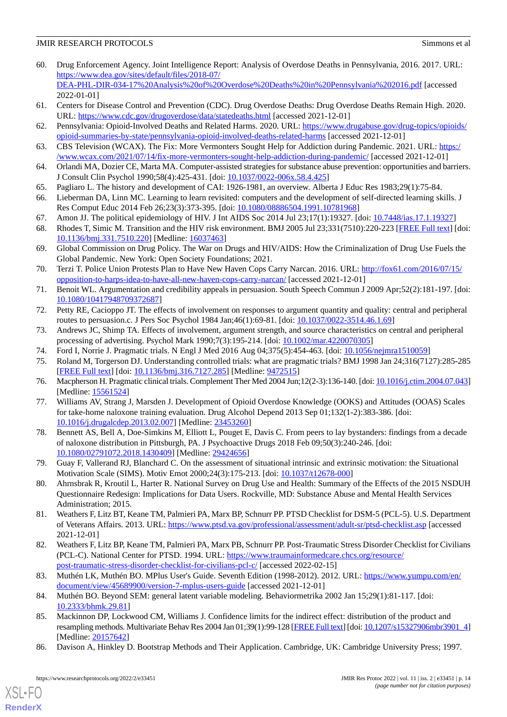- <span id="page-13-0"></span>60. Drug Enforcement Agency. Joint Intelligence Report: Analysis of Overdose Deaths in Pennsylvania, 2016. 2017. URL: [https://www.dea.gov/sites/default/files/2018-07/](https://www.dea.gov/sites/default/files/2018-07/DEA-PHL-DIR-034-17%20Analysis%20of%20Overdose%20Deaths%20in%20Pennsylvania%202016.pdf) [DEA-PHL-DIR-034-17%20Analysis%20of%20Overdose%20Deaths%20in%20Pennsylvania%202016.pdf](https://www.dea.gov/sites/default/files/2018-07/DEA-PHL-DIR-034-17%20Analysis%20of%20Overdose%20Deaths%20in%20Pennsylvania%202016.pdf) [accessed 2022-01-01]
- <span id="page-13-2"></span><span id="page-13-1"></span>61. Centers for Disease Control and Prevention (CDC). Drug Overdose Deaths: Drug Overdose Deaths Remain High. 2020. URL: <https://www.cdc.gov/drugoverdose/data/statedeaths.html> [accessed 2021-12-01]
- <span id="page-13-3"></span>62. Pennsylvania: Opioid-Involved Deaths and Related Harms. 2020. URL: [https://www.drugabuse.gov/drug-topics/opioids/](https://www.drugabuse.gov/drug-topics/opioids/opioid-summaries-by-state/pennsylvania-opioid-involved-deaths-related-harms) [opioid-summaries-by-state/pennsylvania-opioid-involved-deaths-related-harms](https://www.drugabuse.gov/drug-topics/opioids/opioid-summaries-by-state/pennsylvania-opioid-involved-deaths-related-harms) [accessed 2021-12-01]
- <span id="page-13-4"></span>63. CBS Television (WCAX). The Fix: More Vermonters Sought Help for Addiction during Pandemic. 2021. URL: [https:/](https://www.wcax.com/2021/07/14/fix-more-vermonters-sought-help-addiction-during-pandemic/) [/www.wcax.com/2021/07/14/fix-more-vermonters-sought-help-addiction-during-pandemic/](https://www.wcax.com/2021/07/14/fix-more-vermonters-sought-help-addiction-during-pandemic/) [accessed 2021-12-01]
- <span id="page-13-5"></span>64. Orlandi MA, Dozier CE, Marta MA. Computer-assisted strategies for substance abuse prevention: opportunities and barriers. J Consult Clin Psychol 1990;58(4):425-431. [doi: [10.1037/0022-006x.58.4.425\]](http://dx.doi.org/10.1037/0022-006x.58.4.425)
- <span id="page-13-6"></span>65. Pagliaro L. The history and development of CAI: 1926-1981, an overview. Alberta J Educ Res 1983;29(1):75-84.
- <span id="page-13-8"></span><span id="page-13-7"></span>66. Lieberman DA, Linn MC. Learning to learn revisited: computers and the development of self-directed learning skills. J Res Comput Educ 2014 Feb 26;23(3):373-395. [doi: [10.1080/08886504.1991.10781968](http://dx.doi.org/10.1080/08886504.1991.10781968)]
- 67. Amon JJ. The political epidemiology of HIV. J Int AIDS Soc 2014 Jul 23;17(1):19327. [doi: [10.7448/ias.17.1.19327](http://dx.doi.org/10.7448/ias.17.1.19327)]
- <span id="page-13-9"></span>68. Rhodes T, Simic M. Transition and the HIV risk environment. BMJ 2005 Jul 23;331(7510):220-223 [\[FREE Full text](http://europepmc.org/abstract/MED/16037463)] [doi: [10.1136/bmj.331.7510.220\]](http://dx.doi.org/10.1136/bmj.331.7510.220) [Medline: [16037463\]](http://www.ncbi.nlm.nih.gov/entrez/query.fcgi?cmd=Retrieve&db=PubMed&list_uids=16037463&dopt=Abstract)
- <span id="page-13-10"></span>69. Global Commission on Drug Policy. The War on Drugs and HIV/AIDS: How the Criminalization of Drug Use Fuels the Global Pandemic. New York: Open Society Foundations; 2021.
- <span id="page-13-12"></span><span id="page-13-11"></span>70. Terzi T. Police Union Protests Plan to Have New Haven Cops Carry Narcan. 2016. URL: [http://fox61.com/2016/07/15/](http://fox61.com/2016/07/15/opposition-to-harps-idea-to-have-all-new-haven-cops-carry-narcan/) [opposition-to-harps-idea-to-have-all-new-haven-cops-carry-narcan/](http://fox61.com/2016/07/15/opposition-to-harps-idea-to-have-all-new-haven-cops-carry-narcan/) [accessed 2021-12-01]
- <span id="page-13-13"></span>71. Benoit WL. Argumentation and credibility appeals in persuasion. South Speech Commun J 2009 Apr;52(2):181-197. [doi: [10.1080/10417948709372687\]](http://dx.doi.org/10.1080/10417948709372687)
- <span id="page-13-14"></span>72. Petty RE, Cacioppo JT. The effects of involvement on responses to argument quantity and quality: central and peripheral routes to persuasion.c. J Pers Soc Psychol 1984 Jan;46(1):69-81. [doi: [10.1037/0022-3514.46.1.69](http://dx.doi.org/10.1037/0022-3514.46.1.69)]
- <span id="page-13-15"></span>73. Andrews JC, Shimp TA. Effects of involvement, argument strength, and source characteristics on central and peripheral processing of advertising. Psychol Mark 1990;7(3):195-214. [doi: [10.1002/mar.4220070305\]](http://dx.doi.org/10.1002/mar.4220070305)
- <span id="page-13-16"></span>74. Ford I, Norrie J. Pragmatic trials. N Engl J Med 2016 Aug 04;375(5):454-463. [doi: [10.1056/nejmra1510059](http://dx.doi.org/10.1056/nejmra1510059)]
- <span id="page-13-17"></span>75. Roland M, Torgerson DJ. Understanding controlled trials: what are pragmatic trials? BMJ 1998 Jan 24;316(7127):285-285 [[FREE Full text](http://europepmc.org/abstract/MED/9472515)] [doi: [10.1136/bmj.316.7127.285\]](http://dx.doi.org/10.1136/bmj.316.7127.285) [Medline: [9472515\]](http://www.ncbi.nlm.nih.gov/entrez/query.fcgi?cmd=Retrieve&db=PubMed&list_uids=9472515&dopt=Abstract)
- <span id="page-13-18"></span>76. Macpherson H. Pragmatic clinical trials. Complement Ther Med 2004 Jun;12(2-3):136-140. [doi: [10.1016/j.ctim.2004.07.043\]](http://dx.doi.org/10.1016/j.ctim.2004.07.043) [Medline: [15561524](http://www.ncbi.nlm.nih.gov/entrez/query.fcgi?cmd=Retrieve&db=PubMed&list_uids=15561524&dopt=Abstract)]
- 77. Williams AV, Strang J, Marsden J. Development of Opioid Overdose Knowledge (OOKS) and Attitudes (OOAS) Scales for take-home naloxone training evaluation. Drug Alcohol Depend 2013 Sep 01;132(1-2):383-386. [doi: [10.1016/j.drugalcdep.2013.02.007\]](http://dx.doi.org/10.1016/j.drugalcdep.2013.02.007) [Medline: [23453260\]](http://www.ncbi.nlm.nih.gov/entrez/query.fcgi?cmd=Retrieve&db=PubMed&list_uids=23453260&dopt=Abstract)
- <span id="page-13-20"></span><span id="page-13-19"></span>78. Bennett AS, Bell A, Doe-Simkins M, Elliott L, Pouget E, Davis C. From peers to lay bystanders: findings from a decade of naloxone distribution in Pittsburgh, PA. J Psychoactive Drugs 2018 Feb 09;50(3):240-246. [doi: [10.1080/02791072.2018.1430409\]](http://dx.doi.org/10.1080/02791072.2018.1430409) [Medline: [29424656\]](http://www.ncbi.nlm.nih.gov/entrez/query.fcgi?cmd=Retrieve&db=PubMed&list_uids=29424656&dopt=Abstract)
- <span id="page-13-21"></span>79. Guay F, Vallerand RJ, Blanchard C. On the assessment of situational intrinsic and extrinsic motivation: the Situational Motivation Scale (SIMS). Motiv Emot 2000;24(3):175-213. [doi: [10.1037/t12678-000](http://dx.doi.org/10.1037/t12678-000)]
- <span id="page-13-22"></span>80. Ahrnsbrak R, Kroutil L, Harter R. National Survey on Drug Use and Health: Summary of the Effects of the 2015 NSDUH Questionnaire Redesign: Implications for Data Users. Rockville, MD: Substance Abuse and Mental Health Services Administration; 2015.
- <span id="page-13-23"></span>81. Weathers F, Litz BT, Keane TM, Palmieri PA, Marx BP, Schnurr PP. PTSD Checklist for DSM-5 (PCL-5). U.S. Department of Veterans Affairs. 2013. URL: <https://www.ptsd.va.gov/professional/assessment/adult-sr/ptsd-checklist.asp> [accessed 2021-12-01]
- <span id="page-13-25"></span><span id="page-13-24"></span>82. Weathers F, Litz BP, Keane TM, Palmieri PA, Marx PB, Schnurr PP. Post-Traumatic Stress Disorder Checklist for Civilians (PCL-C). National Center for PTSD. 1994. URL: [https://www.traumainformedcare.chcs.org/resource/](https://www.traumainformedcare.chcs.org/resource/post-traumatic-stress-disorder-checklist-for-civilians-pcl-c/) [post-traumatic-stress-disorder-checklist-for-civilians-pcl-c/](https://www.traumainformedcare.chcs.org/resource/post-traumatic-stress-disorder-checklist-for-civilians-pcl-c/) [accessed 2022-02-15]
- <span id="page-13-26"></span>83. Muthén LK, Muthén BO. MPlus User's Guide. Seventh Edition (1998-2012). 2012. URL: [https://www.yumpu.com/en/](https://www.yumpu.com/en/document/view/45689900/version-7-mplus-users-guide) [document/view/45689900/version-7-mplus-users-guide](https://www.yumpu.com/en/document/view/45689900/version-7-mplus-users-guide) [accessed 2021-12-01]
- 84. Muthén BO. Beyond SEM: general latent variable modeling. Behaviormetrika 2002 Jan 15;29(1):81-117. [doi: [10.2333/bhmk.29.81\]](http://dx.doi.org/10.2333/bhmk.29.81)
- 85. Mackinnon DP, Lockwood CM, Williams J. Confidence limits for the indirect effect: distribution of the product and resampling methods. Multivariate Behav Res 2004 Jan 01;39(1):99-128 [\[FREE Full text\]](http://europepmc.org/abstract/MED/20157642) [doi: [10.1207/s15327906mbr3901\\_4\]](http://dx.doi.org/10.1207/s15327906mbr3901_4) [Medline: [20157642](http://www.ncbi.nlm.nih.gov/entrez/query.fcgi?cmd=Retrieve&db=PubMed&list_uids=20157642&dopt=Abstract)]
- 86. Davison A, Hinkley D. Bootstrap Methods and Their Application. Cambridge, UK: Cambridge University Press; 1997.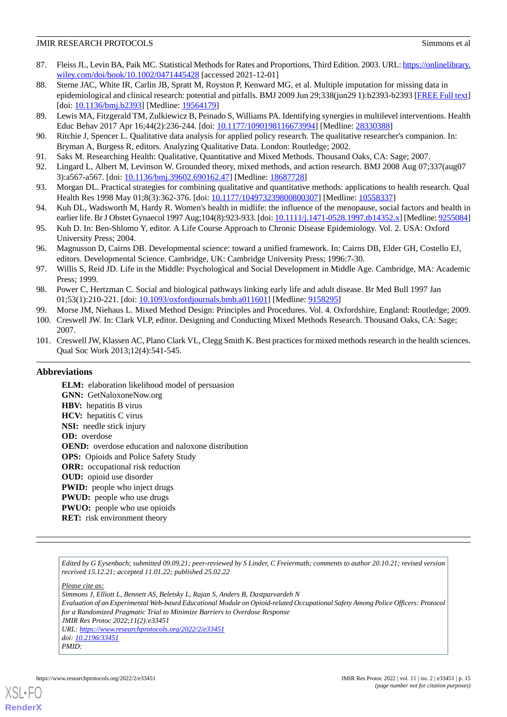- <span id="page-14-0"></span>87. Fleiss JL, Levin BA, Paik MC. Statistical Methods for Rates and Proportions, Third Edition. 2003. URL: [https://onlinelibrary.](https://onlinelibrary.wiley.com/doi/book/10.1002/0471445428) [wiley.com/doi/book/10.1002/0471445428](https://onlinelibrary.wiley.com/doi/book/10.1002/0471445428) [accessed 2021-12-01]
- <span id="page-14-1"></span>88. Sterne JAC, White IR, Carlin JB, Spratt M, Royston P, Kenward MG, et al. Multiple imputation for missing data in epidemiological and clinical research: potential and pitfalls. BMJ 2009 Jun 29;338(jun29 1):b2393-b2393 [[FREE Full text](http://europepmc.org/abstract/MED/19564179)] [doi: [10.1136/bmj.b2393](http://dx.doi.org/10.1136/bmj.b2393)] [Medline: [19564179](http://www.ncbi.nlm.nih.gov/entrez/query.fcgi?cmd=Retrieve&db=PubMed&list_uids=19564179&dopt=Abstract)]
- <span id="page-14-3"></span><span id="page-14-2"></span>89. Lewis MA, Fitzgerald TM, Zulkiewicz B, Peinado S, Williams PA. Identifying synergies in multilevel interventions. Health Educ Behav 2017 Apr 16;44(2):236-244. [doi: [10.1177/1090198116673994](http://dx.doi.org/10.1177/1090198116673994)] [Medline: [28330388\]](http://www.ncbi.nlm.nih.gov/entrez/query.fcgi?cmd=Retrieve&db=PubMed&list_uids=28330388&dopt=Abstract)
- <span id="page-14-4"></span>90. Ritchie J, Spencer L. Qualitative data analysis for applied policy research. The qualitative researcher's companion. In: Bryman A, Burgess R, editors. Analyzing Qualitative Data. London: Routledge; 2002.
- 91. Saks M. Researching Health: Qualitative, Quantitative and Mixed Methods. Thousand Oaks, CA: Sage; 2007.
- 92. Lingard L, Albert M, Levinson W. Grounded theory, mixed methods, and action research. BMJ 2008 Aug 07;337(aug07 3):a567-a567. [doi: [10.1136/bmj.39602.690162.47\]](http://dx.doi.org/10.1136/bmj.39602.690162.47) [Medline: [18687728](http://www.ncbi.nlm.nih.gov/entrez/query.fcgi?cmd=Retrieve&db=PubMed&list_uids=18687728&dopt=Abstract)]
- 93. Morgan DL. Practical strategies for combining qualitative and quantitative methods: applications to health research. Qual Health Res 1998 May 01;8(3):362-376. [doi: [10.1177/104973239800800307\]](http://dx.doi.org/10.1177/104973239800800307) [Medline: [10558337\]](http://www.ncbi.nlm.nih.gov/entrez/query.fcgi?cmd=Retrieve&db=PubMed&list_uids=10558337&dopt=Abstract)
- 94. Kuh DL, Wadsworth M, Hardy R. Women's health in midlife: the influence of the menopause, social factors and health in earlier life. Br J Obstet Gynaecol 1997 Aug;104(8):923-933. [doi: [10.1111/j.1471-0528.1997.tb14352.x](http://dx.doi.org/10.1111/j.1471-0528.1997.tb14352.x)] [Medline: [9255084](http://www.ncbi.nlm.nih.gov/entrez/query.fcgi?cmd=Retrieve&db=PubMed&list_uids=9255084&dopt=Abstract)]
- 95. Kuh D. In: Ben-Shlomo Y, editor. A Life Course Approach to Chronic Disease Epidemiology. Vol. 2. USA: Oxford University Press; 2004.
- 96. Magnusson D, Cairns DB. Developmental science: toward a unified framework. In: Cairns DB, Elder GH, Costello EJ, editors. Developmental Science. Cambridge, UK: Cambridge University Press; 1996:7-30.
- <span id="page-14-6"></span><span id="page-14-5"></span>97. Willis S, Reid JD. Life in the Middle: Psychological and Social Development in Middle Age. Cambridge, MA: Academic Press; 1999.
- <span id="page-14-7"></span>98. Power C, Hertzman C. Social and biological pathways linking early life and adult disease. Br Med Bull 1997 Jan 01;53(1):210-221. [doi: [10.1093/oxfordjournals.bmb.a011601](http://dx.doi.org/10.1093/oxfordjournals.bmb.a011601)] [Medline: [9158295](http://www.ncbi.nlm.nih.gov/entrez/query.fcgi?cmd=Retrieve&db=PubMed&list_uids=9158295&dopt=Abstract)]
- <span id="page-14-8"></span>99. Morse JM, Niehaus L. Mixed Method Design: Principles and Procedures. Vol. 4. Oxfordshire, England: Routledge; 2009.
- 100. Creswell JW. In: Clark VLP, editor. Designing and Conducting Mixed Methods Research. Thousand Oaks, CA: Sage; 2007.
- 101. Creswell JW, Klassen AC, Plano Clark VL, Clegg Smith K. Best practices for mixed methods research in the health sciences. Qual Soc Work 2013;12(4):541-545.

#### **Abbreviations**

**ELM:** elaboration likelihood model of persuasion **GNN:** GetNaloxoneNow.org **HBV:** hepatitis B virus **HCV:** hepatitis C virus **NSI:** needle stick injury **OD:** overdose **OEND:** overdose education and naloxone distribution **OPS:** Opioids and Police Safety Study **ORR:** occupational risk reduction **OUD:** opioid use disorder **PWID:** people who inject drugs **PWUD:** people who use drugs **PWUO:** people who use opioids **RET:** risk environment theory

*Edited by G Eysenbach; submitted 09.09.21; peer-reviewed by S Linder, C Freiermuth; comments to author 20.10.21; revised version received 15.12.21; accepted 11.01.22; published 25.02.22*

*Please cite as:*

*Simmons J, Elliott L, Bennett AS, Beletsky L, Rajan S, Anders B, Dastparvardeh N Evaluation of an Experimental Web-based Educational Module on Opioid-related Occupational Safety Among Police Officers: Protocol for a Randomized Pragmatic Trial to Minimize Barriers to Overdose Response JMIR Res Protoc 2022;11(2):e33451 URL: <https://www.researchprotocols.org/2022/2/e33451> doi: [10.2196/33451](http://dx.doi.org/10.2196/33451) PMID:*